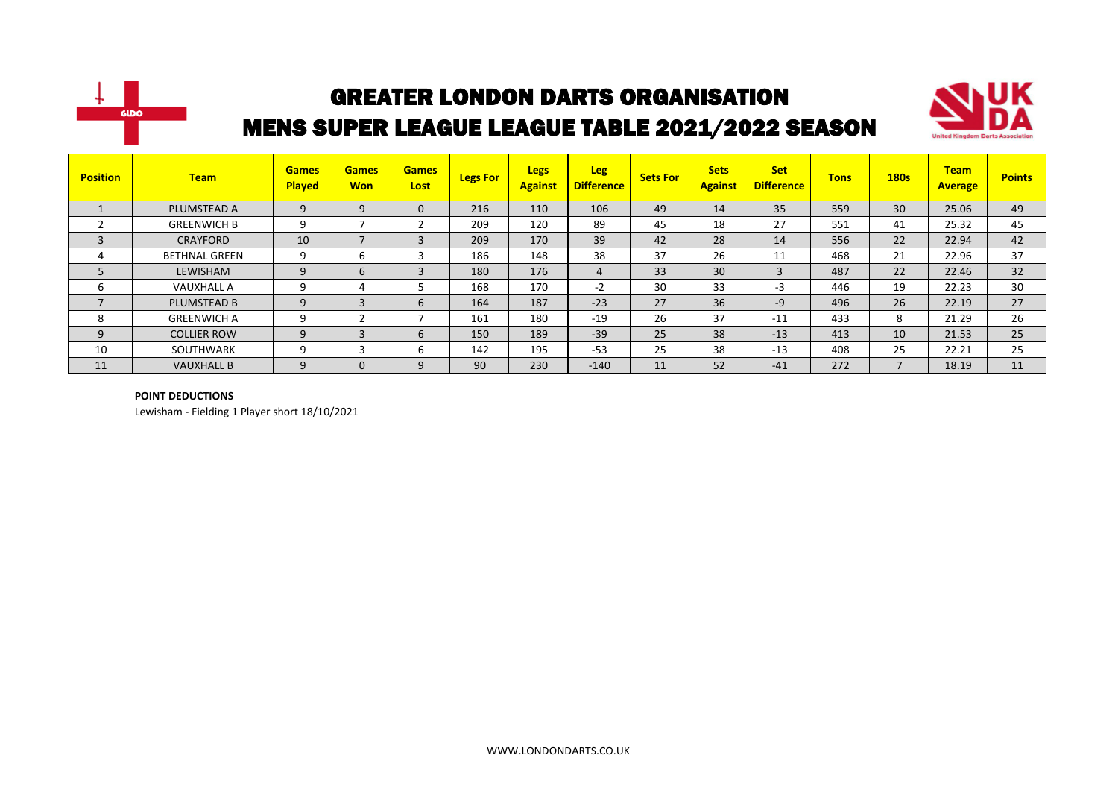



| <b>Position</b> | <b>Team</b>          | <b>Games</b><br><b>Played</b> | <b>Games</b><br><b>Won</b> | <b>Games</b><br>Lost | <b>Legs For</b> | <b>Legs</b><br><b>Against</b> | <b>Leg</b><br><b>Difference</b> | <b>Sets For</b> | <b>Sets</b><br><b>Against</b> | <b>Set</b><br><b>Difference</b> | <b>Tons</b> | <b>180s</b>              | <b>Team</b><br><b>Average</b> | <b>Points</b> |
|-----------------|----------------------|-------------------------------|----------------------------|----------------------|-----------------|-------------------------------|---------------------------------|-----------------|-------------------------------|---------------------------------|-------------|--------------------------|-------------------------------|---------------|
|                 | PLUMSTEAD A          | 9                             | 9                          | 0                    | 216             | 110                           | 106                             | 49              | 14                            | 35                              | 559         | 30                       | 25.06                         | 49            |
|                 | <b>GREENWICH B</b>   | 9                             | ⇁                          |                      | 209             | 120                           | 89                              | 45              | 18                            | 27                              | 551         | 41                       | 25.32                         | 45            |
| 3               | CRAYFORD             | 10                            | $\overline{\phantom{a}}$   | 3                    | 209             | 170                           | 39                              | 42              | 28                            | 14                              | 556         | 22                       | 22.94                         | 42            |
| 4               | <b>BETHNAL GREEN</b> | 9                             | 6                          |                      | 186             | 148                           | 38                              | 37              | 26                            | 11                              | 468         | 21                       | 22.96                         | 37            |
| 5               | LEWISHAM             | 9                             | 6                          | 3                    | 180             | 176                           | $\overline{4}$                  | 33              | 30                            | 3                               | 487         | 22                       | 22.46                         | 32            |
| ь               | <b>VAUXHALL A</b>    | 9                             | 4                          |                      | 168             | 170                           | $-2$                            | 30              | 33                            | $-3$                            | 446         | 19                       | 22.23                         | 30            |
| $\overline{7}$  | PLUMSTEAD B          | 9                             | 3                          | 6                    | 164             | 187                           | $-23$                           | 27              | 36                            | $-9$                            | 496         | 26                       | 22.19                         | 27            |
| 8               | <b>GREENWICH A</b>   | 9                             | ำ                          |                      | 161             | 180                           | $-19$                           | 26              | 37                            | $-11$                           | 433         | 8                        | 21.29                         | 26            |
| 9               | <b>COLLIER ROW</b>   | 9                             | 3                          | b                    | 150             | 189                           | $-39$                           | 25              | 38                            | $-13$                           | 413         | 10                       | 21.53                         | 25            |
| 10              | SOUTHWARK            | 9                             | 3                          | b                    | 142             | 195                           | $-53$                           | 25              | 38                            | $-13$                           | 408         | 25                       | 22.21                         | 25            |
| 11              | <b>VAUXHALL B</b>    | 9                             | $\mathbf{0}$               | 9                    | 90              | 230                           | $-140$                          | 11              | 52                            | $-41$                           | 272         | $\overline{\phantom{a}}$ | 18.19                         | 11            |

#### **POINT DEDUCTIONS**

Lewisham - Fielding 1 Player short 18/10/2021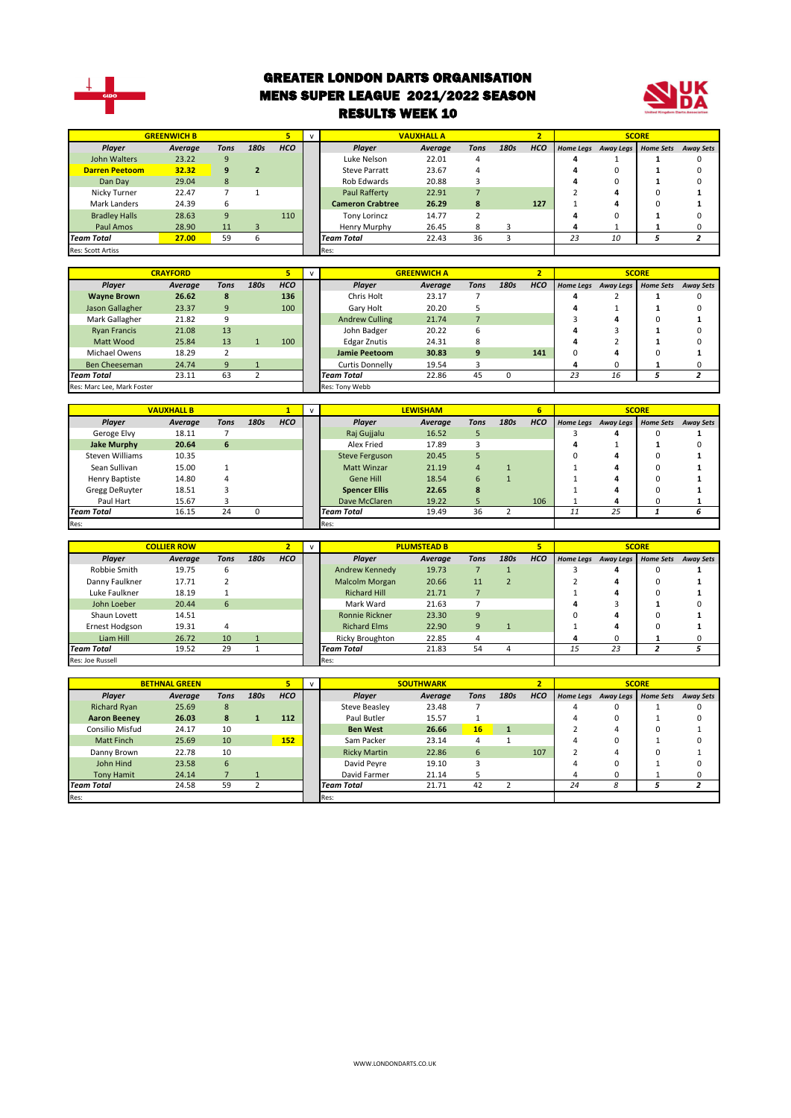

#### GREATER LONDON DARTS ORGANISATION MENS SUPER LEAGUE 2021/2022 SEASON RESULTS WEEK 10



| HCO<br>Player<br><b>Tons</b><br>180s<br><b>HCO</b><br>Player<br><b>Tons</b><br>180s<br><b>Home Sets</b><br><b>Away Sets</b><br>Average<br>Average<br>Home Legs<br><b>Away Legs</b><br>John Walters<br>23.22<br>9<br>Luke Nelson<br>22.01<br>0<br>4<br>4<br>1<br>1<br><b>Darren Peetoom</b><br>32.32<br>9<br>$\overline{2}$<br><b>Steve Parratt</b><br>23.67<br>$\overline{4}$<br>4<br>$\mathbf 0$<br>0<br>1<br>29.04<br>20.88<br>$\overline{3}$<br>$\mathbf 0$<br>Dan Day<br>8<br>Rob Edwards<br>4<br>$\mathbf{1}$<br>0<br>$\overline{7}$<br>$\mathbf{1}$<br>$\overline{7}$<br>$\overline{2}$<br>4<br>Nicky Turner<br>22.47<br>Paul Rafferty<br>22.91<br>$\Omega$<br>1<br>6<br><b>Cameron Crabtree</b><br>8<br>127<br>Mark Landers<br>24.39<br>26.29<br>$\mathbf{1}$<br>4<br>$\Omega$<br>1<br>9<br>110<br>$\overline{2}$<br><b>Bradley Halls</b><br>28.63<br><b>Tony Lorincz</b><br>14.77<br>4<br>$\Omega$<br>$\mathbf{1}$<br>$\Omega$<br>Paul Amos<br>28.90<br>11<br>3<br>26.45<br>8<br>3<br>4<br>0<br>Henry Murphy<br>$\mathbf{1}$<br>1<br>59<br>6<br>36<br>$\overline{\mathbf{3}}$<br>23<br>10<br>$\overline{z}$<br><b>Team Total</b><br>27.00<br><b>Team Total</b><br>22.43<br>5<br>Res: Scott Artiss<br>Res:<br><b>GREENWICH A</b><br><b>SCORE</b><br><b>CRAYFORD</b><br>5<br>$\mathsf{v}$<br>$\overline{2}$<br>Player<br><b>Tons</b><br>180s<br>HCO<br>Player<br><b>Tons</b><br>180s<br><b>HCO</b><br>Average<br>Average<br>Home Legs<br>Away Legs<br><b>Home Sets</b><br><b>Away Sets</b><br><b>Wayne Brown</b><br>26.62<br>8<br>136<br>Chris Holt<br>23.17<br>7<br>$\overline{2}$<br>0<br>4<br>1<br>9<br>100<br>20.20<br>5<br>4<br>$\mathbf 1$<br>$\mathbf{1}$<br>0<br>Jason Gallagher<br>23.37<br>Gary Holt<br>Mark Gallagher<br>21.82<br>9<br><b>Andrew Culling</b><br>21.74<br>$\overline{7}$<br>3<br>4<br>$\Omega$<br>$\mathbf{1}$<br>13<br>20.22<br>6<br>3<br><b>Ryan Francis</b><br>21.08<br>John Badger<br>4<br>$\mathbf{1}$<br>O<br>13<br>100<br>24.31<br>8<br>$\overline{2}$<br>$\Omega$<br>Matt Wood<br>25.84<br>$\mathbf{1}$<br><b>Edgar Znutis</b><br>4<br>$\mathbf{1}$<br>$\overline{2}$<br>30.83<br>$\overline{9}$<br>141<br>18.29<br><b>Jamie Peetoom</b><br>$\mathbf 0$<br>4<br>$\mathbf 0$<br>1<br>Michael Owens<br>9<br>3<br>4<br>$\mathbf 0$<br>0<br><b>Ben Cheeseman</b><br>24.74<br>$\mathbf{1}$<br><b>Curtis Donnelly</b><br>19.54<br>$\mathbf{1}$<br>23.11<br>63<br>45<br>$\mathbf 0$<br>23<br><b>Team Total</b><br>$\overline{2}$<br><b>Team Total</b><br>22.86<br>16<br>5<br>$\overline{a}$<br>Res: Tony Webb<br>Res: Marc Lee, Mark Foster<br>$\overline{6}$<br><b>SCORE</b><br><b>VAUXHALL B</b><br><b>LEWISHAM</b><br>$\mathbf{1}$<br>$\mathsf{v}$<br>180s<br><b>HCO</b><br>180s<br>HCO<br>Player<br>Average<br><b>Tons</b><br>Player<br><b>Tons</b><br><b>Home Legs</b><br><b>Home Sets</b><br><b>Away Sets</b><br><b>Average</b><br><b>Away Legs</b><br>Geroge Elvy<br>18.11<br>$\overline{7}$<br>Raj Gujjalu<br>16.52<br>5<br>4<br>1<br>3<br>$\Omega$<br>20.64<br>6<br>Alex Fried<br>17.89<br>3<br>0<br><b>Jake Murphy</b><br>4<br>1<br>1<br><b>Steven Williams</b><br>20.45<br>5<br>10.35<br><b>Steve Ferguson</b><br>0<br>4<br>0<br>1<br>Sean Sullivan<br>15.00<br>$\mathbf{1}$<br><b>Matt Winzar</b><br>21.19<br>$\overline{4}$<br>$\mathbf{1}$<br>$\mathbf{1}$<br>4<br>$\Omega$<br>$\mathbf{1}$<br>$\overline{1}$<br>14.80<br>4<br><b>Gene Hill</b><br>18.54<br>$6\phantom{1}6$<br>4<br>$\Omega$<br><b>Henry Baptiste</b><br>1<br>1<br>Gregg DeRuyter<br>18.51<br>3<br><b>Spencer Ellis</b><br>22.65<br>8<br>$\mathbf{1}$<br>4<br>$\Omega$<br>$\mathbf{1}$<br>Paul Hart<br>15.67<br>3<br>Dave McClaren<br>5<br>106<br>4<br>$\Omega$<br>19.22<br>1<br>$\mathbf{1}$<br>24<br>25<br><b>Team Total</b><br>16.15<br>0<br><b>Team Total</b><br>19.49<br>36<br>$\overline{2}$<br>11<br>1<br>6<br>Res:<br>Res:<br><b>COLLIER ROW</b><br><b>PLUMSTEAD B</b><br>5<br><b>SCORE</b><br>$\overline{2}$<br>$\mathsf{v}$<br><b>Tons</b><br>нсо<br><b>Tons</b><br>180s<br><b>HCO</b><br>Player<br>Average<br>180s<br>Player<br>Average<br>Home Legs Away Legs<br><b>Home Sets</b><br><b>Away Sets</b><br>Robbie Smith<br>19.75<br>6<br><b>Andrew Kennedy</b><br>19.73<br>$\overline{7}$<br>$\mathbf{1}$<br>3<br>0<br>4<br>1<br>$\overline{2}$<br>Danny Faulkner<br>17.71<br>2<br>Malcolm Morgan<br>20.66<br>11<br>$\overline{2}$<br>4<br>$\mathbf 0$<br>$\mathbf{1}$<br>Luke Faulkner<br>18.19<br><b>Richard Hill</b><br>21.71<br>$\overline{7}$<br>4<br>$\mathbf 0$<br>1<br>1<br>1<br>6<br>Mark Ward<br>3<br>John Loeber<br>20.44<br>21.63<br>$\overline{7}$<br>4<br>$\mathbf{1}$<br>$\Omega$<br>14.51<br>Ronnie Rickner<br>23.30<br>$\boldsymbol{9}$<br>4<br>$\Omega$<br>Shaun Lovett<br>0<br>1<br>19.31<br>$\overline{4}$<br><b>Richard Elms</b><br>9<br>4<br>Ernest Hodgson<br>22.90<br>$\mathbf{1}$<br>1<br>$\Omega$<br>1<br>Liam Hill<br>26.72<br>10<br>$\mathbf 1$<br><b>Ricky Broughton</b><br>22.85<br>4<br>4<br>0<br>$\mathbf{1}$<br>0<br>54<br>$\overline{23}$<br>19.52<br>29<br>$\mathbf 1$<br><b>Team Total</b><br>21.83<br>$\overline{4}$<br>15<br>$\overline{a}$<br><b>Team Total</b><br>5<br>Res:<br>Res: Joe Russell<br><b>SOUTHWARK</b><br>$\overline{2}$<br><b>SCORE</b><br><b>BETHNAL GREEN</b><br>$\overline{\mathbf{5}}$<br>$\mathsf{v}$<br>нсо<br>180s<br>HCO<br>180s<br><b>Tons</b><br>Player<br><b>Tons</b><br>Player<br>Average<br><b>Home Sets</b><br><b>Away Sets</b><br><b>Average</b><br>Home Legs<br><b>Away Legs</b><br>$\overline{7}$<br><b>Richard Ryan</b><br>8<br>23.48<br>0<br>25.69<br><b>Steve Beasley</b><br>$\Omega$<br>4<br>8<br>$\mathbf 0$<br>0<br><b>Aaron Beeney</b><br>26.03<br>$\mathbf{1}$<br>112<br>Paul Butler<br>15.57<br>1<br>4<br>$\mathbf{1}$<br>16<br>$\overline{2}$<br>$\pmb{0}$<br>Consilio Misfud<br>10<br><b>Ben West</b><br>26.66<br>${\bf 1}$<br>4<br>24.17<br>1<br>$\mathbf 0$<br>25.69<br>10<br>152<br>$\overline{4}$<br>$\mathbf{1}$<br><b>Matt Finch</b><br>Sam Packer<br>23.14<br>4<br>$\mathbf{1}$<br>0<br>107<br>Danny Brown<br>22.78<br>10<br><b>Ricky Martin</b><br>22.86<br>$6\phantom{1}6$<br>$\overline{2}$<br>4<br>$\Omega$<br>$\mathbf{1}$<br>John Hind<br>23.58<br>6<br>David Peyre<br>19.10<br>3<br>4<br>$\mathbf 0$<br>0<br>1<br>$\overline{7}$<br>5<br>$\mathbf 0$<br><b>Tony Hamit</b><br>24.14<br>$\mathbf{1}$<br>David Farmer<br>21.14<br>4<br>1<br>0 | <b>GREENWICH B</b> |    |                | 5 | $\mathsf{v}$ | <b>VAUXHALL A</b> | <b>SCORE</b> |    |                |  |    |   |   |                         |
|---------------------------------------------------------------------------------------------------------------------------------------------------------------------------------------------------------------------------------------------------------------------------------------------------------------------------------------------------------------------------------------------------------------------------------------------------------------------------------------------------------------------------------------------------------------------------------------------------------------------------------------------------------------------------------------------------------------------------------------------------------------------------------------------------------------------------------------------------------------------------------------------------------------------------------------------------------------------------------------------------------------------------------------------------------------------------------------------------------------------------------------------------------------------------------------------------------------------------------------------------------------------------------------------------------------------------------------------------------------------------------------------------------------------------------------------------------------------------------------------------------------------------------------------------------------------------------------------------------------------------------------------------------------------------------------------------------------------------------------------------------------------------------------------------------------------------------------------------------------------------------------------------------------------------------------------------------------------------------------------------------------------------------------------------------------------------------------------------------------------------------------------------------------------------------------------------------------------------------------------------------------------------------------------------------------------------------------------------------------------------------------------------------------------------------------------------------------------------------------------------------------------------------------------------------------------------------------------------------------------------------------------------------------------------------------------------------------------------------------------------------------------------------------------------------------------------------------------------------------------------------------------------------------------------------------------------------------------------------------------------------------------------------------------------------------------------------------------------------------------------------------------------------------------------------------------------------------------------------------------------------------------------------------------------------------------------------------------------------------------------------------------------------------------------------------------------------------------------------------------------------------------------------------------------------------------------------------------------------------------------------------------------------------------------------------------------------------------------------------------------------------------------------------------------------------------------------------------------------------------------------------------------------------------------------------------------------------------------------------------------------------------------------------------------------------------------------------------------------------------------------------------------------------------------------------------------------------------------------------------------------------------------------------------------------------------------------------------------------------------------------------------------------------------------------------------------------------------------------------------------------------------------------------------------------------------------------------------------------------------------------------------------------------------------------------------------------------------------------------------------------------------------------------------------------------------------------------------------------------------------------------------------------------------------------------------------------------------------------------------------------------------------------------------------------------------------------------------------------------------------------------------------------------------------------------------------------------------------------------------------------------------------------------------------------------------------------------------------------------------------------------------------------------------------------------------------------------------------------------------------------------------------------------------------------------------------------------------------------------------------------------------------------------------------------------------------------------------------------------------------------------------------------------------------------------------------------------------------------------------------------------------------------------------------------------------------------------------------------------------------------------------------------------------------------------------------------------------------------------------------------------------------------------------------------------------------------------------------------------------------------------------------------------------------------------------------------------------------------------------|--------------------|----|----------------|---|--------------|-------------------|--------------|----|----------------|--|----|---|---|-------------------------|
|                                                                                                                                                                                                                                                                                                                                                                                                                                                                                                                                                                                                                                                                                                                                                                                                                                                                                                                                                                                                                                                                                                                                                                                                                                                                                                                                                                                                                                                                                                                                                                                                                                                                                                                                                                                                                                                                                                                                                                                                                                                                                                                                                                                                                                                                                                                                                                                                                                                                                                                                                                                                                                                                                                                                                                                                                                                                                                                                                                                                                                                                                                                                                                                                                                                                                                                                                                                                                                                                                                                                                                                                                                                                                                                                                                                                                                                                                                                                                                                                                                                                                                                                                                                                                                                                                                                                                                                                                                                                                                                                                                                                                                                                                                                                                                                                                                                                                                                                                                                                                                                                                                                                                                                                                                                                                                                                                                                                                                                                                                                                                                                                                                                                                                                                                                                                                                                                                                                                                                                                                                                                                                                                                                                                                                                                                                                                                                     |                    |    |                |   |              |                   |              |    |                |  |    |   |   |                         |
|                                                                                                                                                                                                                                                                                                                                                                                                                                                                                                                                                                                                                                                                                                                                                                                                                                                                                                                                                                                                                                                                                                                                                                                                                                                                                                                                                                                                                                                                                                                                                                                                                                                                                                                                                                                                                                                                                                                                                                                                                                                                                                                                                                                                                                                                                                                                                                                                                                                                                                                                                                                                                                                                                                                                                                                                                                                                                                                                                                                                                                                                                                                                                                                                                                                                                                                                                                                                                                                                                                                                                                                                                                                                                                                                                                                                                                                                                                                                                                                                                                                                                                                                                                                                                                                                                                                                                                                                                                                                                                                                                                                                                                                                                                                                                                                                                                                                                                                                                                                                                                                                                                                                                                                                                                                                                                                                                                                                                                                                                                                                                                                                                                                                                                                                                                                                                                                                                                                                                                                                                                                                                                                                                                                                                                                                                                                                                                     |                    |    |                |   |              |                   |              |    |                |  |    |   |   |                         |
|                                                                                                                                                                                                                                                                                                                                                                                                                                                                                                                                                                                                                                                                                                                                                                                                                                                                                                                                                                                                                                                                                                                                                                                                                                                                                                                                                                                                                                                                                                                                                                                                                                                                                                                                                                                                                                                                                                                                                                                                                                                                                                                                                                                                                                                                                                                                                                                                                                                                                                                                                                                                                                                                                                                                                                                                                                                                                                                                                                                                                                                                                                                                                                                                                                                                                                                                                                                                                                                                                                                                                                                                                                                                                                                                                                                                                                                                                                                                                                                                                                                                                                                                                                                                                                                                                                                                                                                                                                                                                                                                                                                                                                                                                                                                                                                                                                                                                                                                                                                                                                                                                                                                                                                                                                                                                                                                                                                                                                                                                                                                                                                                                                                                                                                                                                                                                                                                                                                                                                                                                                                                                                                                                                                                                                                                                                                                                                     |                    |    |                |   |              |                   |              |    |                |  |    |   |   |                         |
|                                                                                                                                                                                                                                                                                                                                                                                                                                                                                                                                                                                                                                                                                                                                                                                                                                                                                                                                                                                                                                                                                                                                                                                                                                                                                                                                                                                                                                                                                                                                                                                                                                                                                                                                                                                                                                                                                                                                                                                                                                                                                                                                                                                                                                                                                                                                                                                                                                                                                                                                                                                                                                                                                                                                                                                                                                                                                                                                                                                                                                                                                                                                                                                                                                                                                                                                                                                                                                                                                                                                                                                                                                                                                                                                                                                                                                                                                                                                                                                                                                                                                                                                                                                                                                                                                                                                                                                                                                                                                                                                                                                                                                                                                                                                                                                                                                                                                                                                                                                                                                                                                                                                                                                                                                                                                                                                                                                                                                                                                                                                                                                                                                                                                                                                                                                                                                                                                                                                                                                                                                                                                                                                                                                                                                                                                                                                                                     |                    |    |                |   |              |                   |              |    |                |  |    |   |   |                         |
|                                                                                                                                                                                                                                                                                                                                                                                                                                                                                                                                                                                                                                                                                                                                                                                                                                                                                                                                                                                                                                                                                                                                                                                                                                                                                                                                                                                                                                                                                                                                                                                                                                                                                                                                                                                                                                                                                                                                                                                                                                                                                                                                                                                                                                                                                                                                                                                                                                                                                                                                                                                                                                                                                                                                                                                                                                                                                                                                                                                                                                                                                                                                                                                                                                                                                                                                                                                                                                                                                                                                                                                                                                                                                                                                                                                                                                                                                                                                                                                                                                                                                                                                                                                                                                                                                                                                                                                                                                                                                                                                                                                                                                                                                                                                                                                                                                                                                                                                                                                                                                                                                                                                                                                                                                                                                                                                                                                                                                                                                                                                                                                                                                                                                                                                                                                                                                                                                                                                                                                                                                                                                                                                                                                                                                                                                                                                                                     |                    |    |                |   |              |                   |              |    |                |  |    |   |   |                         |
|                                                                                                                                                                                                                                                                                                                                                                                                                                                                                                                                                                                                                                                                                                                                                                                                                                                                                                                                                                                                                                                                                                                                                                                                                                                                                                                                                                                                                                                                                                                                                                                                                                                                                                                                                                                                                                                                                                                                                                                                                                                                                                                                                                                                                                                                                                                                                                                                                                                                                                                                                                                                                                                                                                                                                                                                                                                                                                                                                                                                                                                                                                                                                                                                                                                                                                                                                                                                                                                                                                                                                                                                                                                                                                                                                                                                                                                                                                                                                                                                                                                                                                                                                                                                                                                                                                                                                                                                                                                                                                                                                                                                                                                                                                                                                                                                                                                                                                                                                                                                                                                                                                                                                                                                                                                                                                                                                                                                                                                                                                                                                                                                                                                                                                                                                                                                                                                                                                                                                                                                                                                                                                                                                                                                                                                                                                                                                                     |                    |    |                |   |              |                   |              |    |                |  |    |   |   |                         |
|                                                                                                                                                                                                                                                                                                                                                                                                                                                                                                                                                                                                                                                                                                                                                                                                                                                                                                                                                                                                                                                                                                                                                                                                                                                                                                                                                                                                                                                                                                                                                                                                                                                                                                                                                                                                                                                                                                                                                                                                                                                                                                                                                                                                                                                                                                                                                                                                                                                                                                                                                                                                                                                                                                                                                                                                                                                                                                                                                                                                                                                                                                                                                                                                                                                                                                                                                                                                                                                                                                                                                                                                                                                                                                                                                                                                                                                                                                                                                                                                                                                                                                                                                                                                                                                                                                                                                                                                                                                                                                                                                                                                                                                                                                                                                                                                                                                                                                                                                                                                                                                                                                                                                                                                                                                                                                                                                                                                                                                                                                                                                                                                                                                                                                                                                                                                                                                                                                                                                                                                                                                                                                                                                                                                                                                                                                                                                                     |                    |    |                |   |              |                   |              |    |                |  |    |   |   |                         |
|                                                                                                                                                                                                                                                                                                                                                                                                                                                                                                                                                                                                                                                                                                                                                                                                                                                                                                                                                                                                                                                                                                                                                                                                                                                                                                                                                                                                                                                                                                                                                                                                                                                                                                                                                                                                                                                                                                                                                                                                                                                                                                                                                                                                                                                                                                                                                                                                                                                                                                                                                                                                                                                                                                                                                                                                                                                                                                                                                                                                                                                                                                                                                                                                                                                                                                                                                                                                                                                                                                                                                                                                                                                                                                                                                                                                                                                                                                                                                                                                                                                                                                                                                                                                                                                                                                                                                                                                                                                                                                                                                                                                                                                                                                                                                                                                                                                                                                                                                                                                                                                                                                                                                                                                                                                                                                                                                                                                                                                                                                                                                                                                                                                                                                                                                                                                                                                                                                                                                                                                                                                                                                                                                                                                                                                                                                                                                                     |                    |    |                |   |              |                   |              |    |                |  |    |   |   |                         |
|                                                                                                                                                                                                                                                                                                                                                                                                                                                                                                                                                                                                                                                                                                                                                                                                                                                                                                                                                                                                                                                                                                                                                                                                                                                                                                                                                                                                                                                                                                                                                                                                                                                                                                                                                                                                                                                                                                                                                                                                                                                                                                                                                                                                                                                                                                                                                                                                                                                                                                                                                                                                                                                                                                                                                                                                                                                                                                                                                                                                                                                                                                                                                                                                                                                                                                                                                                                                                                                                                                                                                                                                                                                                                                                                                                                                                                                                                                                                                                                                                                                                                                                                                                                                                                                                                                                                                                                                                                                                                                                                                                                                                                                                                                                                                                                                                                                                                                                                                                                                                                                                                                                                                                                                                                                                                                                                                                                                                                                                                                                                                                                                                                                                                                                                                                                                                                                                                                                                                                                                                                                                                                                                                                                                                                                                                                                                                                     |                    |    |                |   |              |                   |              |    |                |  |    |   |   |                         |
|                                                                                                                                                                                                                                                                                                                                                                                                                                                                                                                                                                                                                                                                                                                                                                                                                                                                                                                                                                                                                                                                                                                                                                                                                                                                                                                                                                                                                                                                                                                                                                                                                                                                                                                                                                                                                                                                                                                                                                                                                                                                                                                                                                                                                                                                                                                                                                                                                                                                                                                                                                                                                                                                                                                                                                                                                                                                                                                                                                                                                                                                                                                                                                                                                                                                                                                                                                                                                                                                                                                                                                                                                                                                                                                                                                                                                                                                                                                                                                                                                                                                                                                                                                                                                                                                                                                                                                                                                                                                                                                                                                                                                                                                                                                                                                                                                                                                                                                                                                                                                                                                                                                                                                                                                                                                                                                                                                                                                                                                                                                                                                                                                                                                                                                                                                                                                                                                                                                                                                                                                                                                                                                                                                                                                                                                                                                                                                     |                    |    |                |   |              |                   |              |    |                |  |    |   |   |                         |
|                                                                                                                                                                                                                                                                                                                                                                                                                                                                                                                                                                                                                                                                                                                                                                                                                                                                                                                                                                                                                                                                                                                                                                                                                                                                                                                                                                                                                                                                                                                                                                                                                                                                                                                                                                                                                                                                                                                                                                                                                                                                                                                                                                                                                                                                                                                                                                                                                                                                                                                                                                                                                                                                                                                                                                                                                                                                                                                                                                                                                                                                                                                                                                                                                                                                                                                                                                                                                                                                                                                                                                                                                                                                                                                                                                                                                                                                                                                                                                                                                                                                                                                                                                                                                                                                                                                                                                                                                                                                                                                                                                                                                                                                                                                                                                                                                                                                                                                                                                                                                                                                                                                                                                                                                                                                                                                                                                                                                                                                                                                                                                                                                                                                                                                                                                                                                                                                                                                                                                                                                                                                                                                                                                                                                                                                                                                                                                     |                    |    |                |   |              |                   |              |    |                |  |    |   |   |                         |
|                                                                                                                                                                                                                                                                                                                                                                                                                                                                                                                                                                                                                                                                                                                                                                                                                                                                                                                                                                                                                                                                                                                                                                                                                                                                                                                                                                                                                                                                                                                                                                                                                                                                                                                                                                                                                                                                                                                                                                                                                                                                                                                                                                                                                                                                                                                                                                                                                                                                                                                                                                                                                                                                                                                                                                                                                                                                                                                                                                                                                                                                                                                                                                                                                                                                                                                                                                                                                                                                                                                                                                                                                                                                                                                                                                                                                                                                                                                                                                                                                                                                                                                                                                                                                                                                                                                                                                                                                                                                                                                                                                                                                                                                                                                                                                                                                                                                                                                                                                                                                                                                                                                                                                                                                                                                                                                                                                                                                                                                                                                                                                                                                                                                                                                                                                                                                                                                                                                                                                                                                                                                                                                                                                                                                                                                                                                                                                     |                    |    |                |   |              |                   |              |    |                |  |    |   |   |                         |
|                                                                                                                                                                                                                                                                                                                                                                                                                                                                                                                                                                                                                                                                                                                                                                                                                                                                                                                                                                                                                                                                                                                                                                                                                                                                                                                                                                                                                                                                                                                                                                                                                                                                                                                                                                                                                                                                                                                                                                                                                                                                                                                                                                                                                                                                                                                                                                                                                                                                                                                                                                                                                                                                                                                                                                                                                                                                                                                                                                                                                                                                                                                                                                                                                                                                                                                                                                                                                                                                                                                                                                                                                                                                                                                                                                                                                                                                                                                                                                                                                                                                                                                                                                                                                                                                                                                                                                                                                                                                                                                                                                                                                                                                                                                                                                                                                                                                                                                                                                                                                                                                                                                                                                                                                                                                                                                                                                                                                                                                                                                                                                                                                                                                                                                                                                                                                                                                                                                                                                                                                                                                                                                                                                                                                                                                                                                                                                     |                    |    |                |   |              |                   |              |    |                |  |    |   |   |                         |
|                                                                                                                                                                                                                                                                                                                                                                                                                                                                                                                                                                                                                                                                                                                                                                                                                                                                                                                                                                                                                                                                                                                                                                                                                                                                                                                                                                                                                                                                                                                                                                                                                                                                                                                                                                                                                                                                                                                                                                                                                                                                                                                                                                                                                                                                                                                                                                                                                                                                                                                                                                                                                                                                                                                                                                                                                                                                                                                                                                                                                                                                                                                                                                                                                                                                                                                                                                                                                                                                                                                                                                                                                                                                                                                                                                                                                                                                                                                                                                                                                                                                                                                                                                                                                                                                                                                                                                                                                                                                                                                                                                                                                                                                                                                                                                                                                                                                                                                                                                                                                                                                                                                                                                                                                                                                                                                                                                                                                                                                                                                                                                                                                                                                                                                                                                                                                                                                                                                                                                                                                                                                                                                                                                                                                                                                                                                                                                     |                    |    |                |   |              |                   |              |    |                |  |    |   |   |                         |
|                                                                                                                                                                                                                                                                                                                                                                                                                                                                                                                                                                                                                                                                                                                                                                                                                                                                                                                                                                                                                                                                                                                                                                                                                                                                                                                                                                                                                                                                                                                                                                                                                                                                                                                                                                                                                                                                                                                                                                                                                                                                                                                                                                                                                                                                                                                                                                                                                                                                                                                                                                                                                                                                                                                                                                                                                                                                                                                                                                                                                                                                                                                                                                                                                                                                                                                                                                                                                                                                                                                                                                                                                                                                                                                                                                                                                                                                                                                                                                                                                                                                                                                                                                                                                                                                                                                                                                                                                                                                                                                                                                                                                                                                                                                                                                                                                                                                                                                                                                                                                                                                                                                                                                                                                                                                                                                                                                                                                                                                                                                                                                                                                                                                                                                                                                                                                                                                                                                                                                                                                                                                                                                                                                                                                                                                                                                                                                     |                    |    |                |   |              |                   |              |    |                |  |    |   |   |                         |
|                                                                                                                                                                                                                                                                                                                                                                                                                                                                                                                                                                                                                                                                                                                                                                                                                                                                                                                                                                                                                                                                                                                                                                                                                                                                                                                                                                                                                                                                                                                                                                                                                                                                                                                                                                                                                                                                                                                                                                                                                                                                                                                                                                                                                                                                                                                                                                                                                                                                                                                                                                                                                                                                                                                                                                                                                                                                                                                                                                                                                                                                                                                                                                                                                                                                                                                                                                                                                                                                                                                                                                                                                                                                                                                                                                                                                                                                                                                                                                                                                                                                                                                                                                                                                                                                                                                                                                                                                                                                                                                                                                                                                                                                                                                                                                                                                                                                                                                                                                                                                                                                                                                                                                                                                                                                                                                                                                                                                                                                                                                                                                                                                                                                                                                                                                                                                                                                                                                                                                                                                                                                                                                                                                                                                                                                                                                                                                     |                    |    |                |   |              |                   |              |    |                |  |    |   |   |                         |
|                                                                                                                                                                                                                                                                                                                                                                                                                                                                                                                                                                                                                                                                                                                                                                                                                                                                                                                                                                                                                                                                                                                                                                                                                                                                                                                                                                                                                                                                                                                                                                                                                                                                                                                                                                                                                                                                                                                                                                                                                                                                                                                                                                                                                                                                                                                                                                                                                                                                                                                                                                                                                                                                                                                                                                                                                                                                                                                                                                                                                                                                                                                                                                                                                                                                                                                                                                                                                                                                                                                                                                                                                                                                                                                                                                                                                                                                                                                                                                                                                                                                                                                                                                                                                                                                                                                                                                                                                                                                                                                                                                                                                                                                                                                                                                                                                                                                                                                                                                                                                                                                                                                                                                                                                                                                                                                                                                                                                                                                                                                                                                                                                                                                                                                                                                                                                                                                                                                                                                                                                                                                                                                                                                                                                                                                                                                                                                     |                    |    |                |   |              |                   |              |    |                |  |    |   |   |                         |
|                                                                                                                                                                                                                                                                                                                                                                                                                                                                                                                                                                                                                                                                                                                                                                                                                                                                                                                                                                                                                                                                                                                                                                                                                                                                                                                                                                                                                                                                                                                                                                                                                                                                                                                                                                                                                                                                                                                                                                                                                                                                                                                                                                                                                                                                                                                                                                                                                                                                                                                                                                                                                                                                                                                                                                                                                                                                                                                                                                                                                                                                                                                                                                                                                                                                                                                                                                                                                                                                                                                                                                                                                                                                                                                                                                                                                                                                                                                                                                                                                                                                                                                                                                                                                                                                                                                                                                                                                                                                                                                                                                                                                                                                                                                                                                                                                                                                                                                                                                                                                                                                                                                                                                                                                                                                                                                                                                                                                                                                                                                                                                                                                                                                                                                                                                                                                                                                                                                                                                                                                                                                                                                                                                                                                                                                                                                                                                     |                    |    |                |   |              |                   |              |    |                |  |    |   |   |                         |
|                                                                                                                                                                                                                                                                                                                                                                                                                                                                                                                                                                                                                                                                                                                                                                                                                                                                                                                                                                                                                                                                                                                                                                                                                                                                                                                                                                                                                                                                                                                                                                                                                                                                                                                                                                                                                                                                                                                                                                                                                                                                                                                                                                                                                                                                                                                                                                                                                                                                                                                                                                                                                                                                                                                                                                                                                                                                                                                                                                                                                                                                                                                                                                                                                                                                                                                                                                                                                                                                                                                                                                                                                                                                                                                                                                                                                                                                                                                                                                                                                                                                                                                                                                                                                                                                                                                                                                                                                                                                                                                                                                                                                                                                                                                                                                                                                                                                                                                                                                                                                                                                                                                                                                                                                                                                                                                                                                                                                                                                                                                                                                                                                                                                                                                                                                                                                                                                                                                                                                                                                                                                                                                                                                                                                                                                                                                                                                     |                    |    |                |   |              |                   |              |    |                |  |    |   |   |                         |
|                                                                                                                                                                                                                                                                                                                                                                                                                                                                                                                                                                                                                                                                                                                                                                                                                                                                                                                                                                                                                                                                                                                                                                                                                                                                                                                                                                                                                                                                                                                                                                                                                                                                                                                                                                                                                                                                                                                                                                                                                                                                                                                                                                                                                                                                                                                                                                                                                                                                                                                                                                                                                                                                                                                                                                                                                                                                                                                                                                                                                                                                                                                                                                                                                                                                                                                                                                                                                                                                                                                                                                                                                                                                                                                                                                                                                                                                                                                                                                                                                                                                                                                                                                                                                                                                                                                                                                                                                                                                                                                                                                                                                                                                                                                                                                                                                                                                                                                                                                                                                                                                                                                                                                                                                                                                                                                                                                                                                                                                                                                                                                                                                                                                                                                                                                                                                                                                                                                                                                                                                                                                                                                                                                                                                                                                                                                                                                     |                    |    |                |   |              |                   |              |    |                |  |    |   |   |                         |
|                                                                                                                                                                                                                                                                                                                                                                                                                                                                                                                                                                                                                                                                                                                                                                                                                                                                                                                                                                                                                                                                                                                                                                                                                                                                                                                                                                                                                                                                                                                                                                                                                                                                                                                                                                                                                                                                                                                                                                                                                                                                                                                                                                                                                                                                                                                                                                                                                                                                                                                                                                                                                                                                                                                                                                                                                                                                                                                                                                                                                                                                                                                                                                                                                                                                                                                                                                                                                                                                                                                                                                                                                                                                                                                                                                                                                                                                                                                                                                                                                                                                                                                                                                                                                                                                                                                                                                                                                                                                                                                                                                                                                                                                                                                                                                                                                                                                                                                                                                                                                                                                                                                                                                                                                                                                                                                                                                                                                                                                                                                                                                                                                                                                                                                                                                                                                                                                                                                                                                                                                                                                                                                                                                                                                                                                                                                                                                     |                    |    |                |   |              |                   |              |    |                |  |    |   |   |                         |
|                                                                                                                                                                                                                                                                                                                                                                                                                                                                                                                                                                                                                                                                                                                                                                                                                                                                                                                                                                                                                                                                                                                                                                                                                                                                                                                                                                                                                                                                                                                                                                                                                                                                                                                                                                                                                                                                                                                                                                                                                                                                                                                                                                                                                                                                                                                                                                                                                                                                                                                                                                                                                                                                                                                                                                                                                                                                                                                                                                                                                                                                                                                                                                                                                                                                                                                                                                                                                                                                                                                                                                                                                                                                                                                                                                                                                                                                                                                                                                                                                                                                                                                                                                                                                                                                                                                                                                                                                                                                                                                                                                                                                                                                                                                                                                                                                                                                                                                                                                                                                                                                                                                                                                                                                                                                                                                                                                                                                                                                                                                                                                                                                                                                                                                                                                                                                                                                                                                                                                                                                                                                                                                                                                                                                                                                                                                                                                     |                    |    |                |   |              |                   |              |    |                |  |    |   |   |                         |
|                                                                                                                                                                                                                                                                                                                                                                                                                                                                                                                                                                                                                                                                                                                                                                                                                                                                                                                                                                                                                                                                                                                                                                                                                                                                                                                                                                                                                                                                                                                                                                                                                                                                                                                                                                                                                                                                                                                                                                                                                                                                                                                                                                                                                                                                                                                                                                                                                                                                                                                                                                                                                                                                                                                                                                                                                                                                                                                                                                                                                                                                                                                                                                                                                                                                                                                                                                                                                                                                                                                                                                                                                                                                                                                                                                                                                                                                                                                                                                                                                                                                                                                                                                                                                                                                                                                                                                                                                                                                                                                                                                                                                                                                                                                                                                                                                                                                                                                                                                                                                                                                                                                                                                                                                                                                                                                                                                                                                                                                                                                                                                                                                                                                                                                                                                                                                                                                                                                                                                                                                                                                                                                                                                                                                                                                                                                                                                     |                    |    |                |   |              |                   |              |    |                |  |    |   |   |                         |
|                                                                                                                                                                                                                                                                                                                                                                                                                                                                                                                                                                                                                                                                                                                                                                                                                                                                                                                                                                                                                                                                                                                                                                                                                                                                                                                                                                                                                                                                                                                                                                                                                                                                                                                                                                                                                                                                                                                                                                                                                                                                                                                                                                                                                                                                                                                                                                                                                                                                                                                                                                                                                                                                                                                                                                                                                                                                                                                                                                                                                                                                                                                                                                                                                                                                                                                                                                                                                                                                                                                                                                                                                                                                                                                                                                                                                                                                                                                                                                                                                                                                                                                                                                                                                                                                                                                                                                                                                                                                                                                                                                                                                                                                                                                                                                                                                                                                                                                                                                                                                                                                                                                                                                                                                                                                                                                                                                                                                                                                                                                                                                                                                                                                                                                                                                                                                                                                                                                                                                                                                                                                                                                                                                                                                                                                                                                                                                     |                    |    |                |   |              |                   |              |    |                |  |    |   |   |                         |
|                                                                                                                                                                                                                                                                                                                                                                                                                                                                                                                                                                                                                                                                                                                                                                                                                                                                                                                                                                                                                                                                                                                                                                                                                                                                                                                                                                                                                                                                                                                                                                                                                                                                                                                                                                                                                                                                                                                                                                                                                                                                                                                                                                                                                                                                                                                                                                                                                                                                                                                                                                                                                                                                                                                                                                                                                                                                                                                                                                                                                                                                                                                                                                                                                                                                                                                                                                                                                                                                                                                                                                                                                                                                                                                                                                                                                                                                                                                                                                                                                                                                                                                                                                                                                                                                                                                                                                                                                                                                                                                                                                                                                                                                                                                                                                                                                                                                                                                                                                                                                                                                                                                                                                                                                                                                                                                                                                                                                                                                                                                                                                                                                                                                                                                                                                                                                                                                                                                                                                                                                                                                                                                                                                                                                                                                                                                                                                     |                    |    |                |   |              |                   |              |    |                |  |    |   |   |                         |
|                                                                                                                                                                                                                                                                                                                                                                                                                                                                                                                                                                                                                                                                                                                                                                                                                                                                                                                                                                                                                                                                                                                                                                                                                                                                                                                                                                                                                                                                                                                                                                                                                                                                                                                                                                                                                                                                                                                                                                                                                                                                                                                                                                                                                                                                                                                                                                                                                                                                                                                                                                                                                                                                                                                                                                                                                                                                                                                                                                                                                                                                                                                                                                                                                                                                                                                                                                                                                                                                                                                                                                                                                                                                                                                                                                                                                                                                                                                                                                                                                                                                                                                                                                                                                                                                                                                                                                                                                                                                                                                                                                                                                                                                                                                                                                                                                                                                                                                                                                                                                                                                                                                                                                                                                                                                                                                                                                                                                                                                                                                                                                                                                                                                                                                                                                                                                                                                                                                                                                                                                                                                                                                                                                                                                                                                                                                                                                     |                    |    |                |   |              |                   |              |    |                |  |    |   |   |                         |
|                                                                                                                                                                                                                                                                                                                                                                                                                                                                                                                                                                                                                                                                                                                                                                                                                                                                                                                                                                                                                                                                                                                                                                                                                                                                                                                                                                                                                                                                                                                                                                                                                                                                                                                                                                                                                                                                                                                                                                                                                                                                                                                                                                                                                                                                                                                                                                                                                                                                                                                                                                                                                                                                                                                                                                                                                                                                                                                                                                                                                                                                                                                                                                                                                                                                                                                                                                                                                                                                                                                                                                                                                                                                                                                                                                                                                                                                                                                                                                                                                                                                                                                                                                                                                                                                                                                                                                                                                                                                                                                                                                                                                                                                                                                                                                                                                                                                                                                                                                                                                                                                                                                                                                                                                                                                                                                                                                                                                                                                                                                                                                                                                                                                                                                                                                                                                                                                                                                                                                                                                                                                                                                                                                                                                                                                                                                                                                     |                    |    |                |   |              |                   |              |    |                |  |    |   |   |                         |
|                                                                                                                                                                                                                                                                                                                                                                                                                                                                                                                                                                                                                                                                                                                                                                                                                                                                                                                                                                                                                                                                                                                                                                                                                                                                                                                                                                                                                                                                                                                                                                                                                                                                                                                                                                                                                                                                                                                                                                                                                                                                                                                                                                                                                                                                                                                                                                                                                                                                                                                                                                                                                                                                                                                                                                                                                                                                                                                                                                                                                                                                                                                                                                                                                                                                                                                                                                                                                                                                                                                                                                                                                                                                                                                                                                                                                                                                                                                                                                                                                                                                                                                                                                                                                                                                                                                                                                                                                                                                                                                                                                                                                                                                                                                                                                                                                                                                                                                                                                                                                                                                                                                                                                                                                                                                                                                                                                                                                                                                                                                                                                                                                                                                                                                                                                                                                                                                                                                                                                                                                                                                                                                                                                                                                                                                                                                                                                     |                    |    |                |   |              |                   |              |    |                |  |    |   |   |                         |
|                                                                                                                                                                                                                                                                                                                                                                                                                                                                                                                                                                                                                                                                                                                                                                                                                                                                                                                                                                                                                                                                                                                                                                                                                                                                                                                                                                                                                                                                                                                                                                                                                                                                                                                                                                                                                                                                                                                                                                                                                                                                                                                                                                                                                                                                                                                                                                                                                                                                                                                                                                                                                                                                                                                                                                                                                                                                                                                                                                                                                                                                                                                                                                                                                                                                                                                                                                                                                                                                                                                                                                                                                                                                                                                                                                                                                                                                                                                                                                                                                                                                                                                                                                                                                                                                                                                                                                                                                                                                                                                                                                                                                                                                                                                                                                                                                                                                                                                                                                                                                                                                                                                                                                                                                                                                                                                                                                                                                                                                                                                                                                                                                                                                                                                                                                                                                                                                                                                                                                                                                                                                                                                                                                                                                                                                                                                                                                     |                    |    |                |   |              |                   |              |    |                |  |    |   |   |                         |
|                                                                                                                                                                                                                                                                                                                                                                                                                                                                                                                                                                                                                                                                                                                                                                                                                                                                                                                                                                                                                                                                                                                                                                                                                                                                                                                                                                                                                                                                                                                                                                                                                                                                                                                                                                                                                                                                                                                                                                                                                                                                                                                                                                                                                                                                                                                                                                                                                                                                                                                                                                                                                                                                                                                                                                                                                                                                                                                                                                                                                                                                                                                                                                                                                                                                                                                                                                                                                                                                                                                                                                                                                                                                                                                                                                                                                                                                                                                                                                                                                                                                                                                                                                                                                                                                                                                                                                                                                                                                                                                                                                                                                                                                                                                                                                                                                                                                                                                                                                                                                                                                                                                                                                                                                                                                                                                                                                                                                                                                                                                                                                                                                                                                                                                                                                                                                                                                                                                                                                                                                                                                                                                                                                                                                                                                                                                                                                     |                    |    |                |   |              |                   |              |    |                |  |    |   |   |                         |
|                                                                                                                                                                                                                                                                                                                                                                                                                                                                                                                                                                                                                                                                                                                                                                                                                                                                                                                                                                                                                                                                                                                                                                                                                                                                                                                                                                                                                                                                                                                                                                                                                                                                                                                                                                                                                                                                                                                                                                                                                                                                                                                                                                                                                                                                                                                                                                                                                                                                                                                                                                                                                                                                                                                                                                                                                                                                                                                                                                                                                                                                                                                                                                                                                                                                                                                                                                                                                                                                                                                                                                                                                                                                                                                                                                                                                                                                                                                                                                                                                                                                                                                                                                                                                                                                                                                                                                                                                                                                                                                                                                                                                                                                                                                                                                                                                                                                                                                                                                                                                                                                                                                                                                                                                                                                                                                                                                                                                                                                                                                                                                                                                                                                                                                                                                                                                                                                                                                                                                                                                                                                                                                                                                                                                                                                                                                                                                     |                    |    |                |   |              |                   |              |    |                |  |    |   |   |                         |
|                                                                                                                                                                                                                                                                                                                                                                                                                                                                                                                                                                                                                                                                                                                                                                                                                                                                                                                                                                                                                                                                                                                                                                                                                                                                                                                                                                                                                                                                                                                                                                                                                                                                                                                                                                                                                                                                                                                                                                                                                                                                                                                                                                                                                                                                                                                                                                                                                                                                                                                                                                                                                                                                                                                                                                                                                                                                                                                                                                                                                                                                                                                                                                                                                                                                                                                                                                                                                                                                                                                                                                                                                                                                                                                                                                                                                                                                                                                                                                                                                                                                                                                                                                                                                                                                                                                                                                                                                                                                                                                                                                                                                                                                                                                                                                                                                                                                                                                                                                                                                                                                                                                                                                                                                                                                                                                                                                                                                                                                                                                                                                                                                                                                                                                                                                                                                                                                                                                                                                                                                                                                                                                                                                                                                                                                                                                                                                     |                    |    |                |   |              |                   |              |    |                |  |    |   |   |                         |
|                                                                                                                                                                                                                                                                                                                                                                                                                                                                                                                                                                                                                                                                                                                                                                                                                                                                                                                                                                                                                                                                                                                                                                                                                                                                                                                                                                                                                                                                                                                                                                                                                                                                                                                                                                                                                                                                                                                                                                                                                                                                                                                                                                                                                                                                                                                                                                                                                                                                                                                                                                                                                                                                                                                                                                                                                                                                                                                                                                                                                                                                                                                                                                                                                                                                                                                                                                                                                                                                                                                                                                                                                                                                                                                                                                                                                                                                                                                                                                                                                                                                                                                                                                                                                                                                                                                                                                                                                                                                                                                                                                                                                                                                                                                                                                                                                                                                                                                                                                                                                                                                                                                                                                                                                                                                                                                                                                                                                                                                                                                                                                                                                                                                                                                                                                                                                                                                                                                                                                                                                                                                                                                                                                                                                                                                                                                                                                     |                    |    |                |   |              |                   |              |    |                |  |    |   |   |                         |
|                                                                                                                                                                                                                                                                                                                                                                                                                                                                                                                                                                                                                                                                                                                                                                                                                                                                                                                                                                                                                                                                                                                                                                                                                                                                                                                                                                                                                                                                                                                                                                                                                                                                                                                                                                                                                                                                                                                                                                                                                                                                                                                                                                                                                                                                                                                                                                                                                                                                                                                                                                                                                                                                                                                                                                                                                                                                                                                                                                                                                                                                                                                                                                                                                                                                                                                                                                                                                                                                                                                                                                                                                                                                                                                                                                                                                                                                                                                                                                                                                                                                                                                                                                                                                                                                                                                                                                                                                                                                                                                                                                                                                                                                                                                                                                                                                                                                                                                                                                                                                                                                                                                                                                                                                                                                                                                                                                                                                                                                                                                                                                                                                                                                                                                                                                                                                                                                                                                                                                                                                                                                                                                                                                                                                                                                                                                                                                     |                    |    |                |   |              |                   |              |    |                |  |    |   |   |                         |
|                                                                                                                                                                                                                                                                                                                                                                                                                                                                                                                                                                                                                                                                                                                                                                                                                                                                                                                                                                                                                                                                                                                                                                                                                                                                                                                                                                                                                                                                                                                                                                                                                                                                                                                                                                                                                                                                                                                                                                                                                                                                                                                                                                                                                                                                                                                                                                                                                                                                                                                                                                                                                                                                                                                                                                                                                                                                                                                                                                                                                                                                                                                                                                                                                                                                                                                                                                                                                                                                                                                                                                                                                                                                                                                                                                                                                                                                                                                                                                                                                                                                                                                                                                                                                                                                                                                                                                                                                                                                                                                                                                                                                                                                                                                                                                                                                                                                                                                                                                                                                                                                                                                                                                                                                                                                                                                                                                                                                                                                                                                                                                                                                                                                                                                                                                                                                                                                                                                                                                                                                                                                                                                                                                                                                                                                                                                                                                     |                    |    |                |   |              |                   |              |    |                |  |    |   |   |                         |
|                                                                                                                                                                                                                                                                                                                                                                                                                                                                                                                                                                                                                                                                                                                                                                                                                                                                                                                                                                                                                                                                                                                                                                                                                                                                                                                                                                                                                                                                                                                                                                                                                                                                                                                                                                                                                                                                                                                                                                                                                                                                                                                                                                                                                                                                                                                                                                                                                                                                                                                                                                                                                                                                                                                                                                                                                                                                                                                                                                                                                                                                                                                                                                                                                                                                                                                                                                                                                                                                                                                                                                                                                                                                                                                                                                                                                                                                                                                                                                                                                                                                                                                                                                                                                                                                                                                                                                                                                                                                                                                                                                                                                                                                                                                                                                                                                                                                                                                                                                                                                                                                                                                                                                                                                                                                                                                                                                                                                                                                                                                                                                                                                                                                                                                                                                                                                                                                                                                                                                                                                                                                                                                                                                                                                                                                                                                                                                     |                    |    |                |   |              |                   |              |    |                |  |    |   |   |                         |
|                                                                                                                                                                                                                                                                                                                                                                                                                                                                                                                                                                                                                                                                                                                                                                                                                                                                                                                                                                                                                                                                                                                                                                                                                                                                                                                                                                                                                                                                                                                                                                                                                                                                                                                                                                                                                                                                                                                                                                                                                                                                                                                                                                                                                                                                                                                                                                                                                                                                                                                                                                                                                                                                                                                                                                                                                                                                                                                                                                                                                                                                                                                                                                                                                                                                                                                                                                                                                                                                                                                                                                                                                                                                                                                                                                                                                                                                                                                                                                                                                                                                                                                                                                                                                                                                                                                                                                                                                                                                                                                                                                                                                                                                                                                                                                                                                                                                                                                                                                                                                                                                                                                                                                                                                                                                                                                                                                                                                                                                                                                                                                                                                                                                                                                                                                                                                                                                                                                                                                                                                                                                                                                                                                                                                                                                                                                                                                     |                    |    |                |   |              |                   |              |    |                |  |    |   |   |                         |
|                                                                                                                                                                                                                                                                                                                                                                                                                                                                                                                                                                                                                                                                                                                                                                                                                                                                                                                                                                                                                                                                                                                                                                                                                                                                                                                                                                                                                                                                                                                                                                                                                                                                                                                                                                                                                                                                                                                                                                                                                                                                                                                                                                                                                                                                                                                                                                                                                                                                                                                                                                                                                                                                                                                                                                                                                                                                                                                                                                                                                                                                                                                                                                                                                                                                                                                                                                                                                                                                                                                                                                                                                                                                                                                                                                                                                                                                                                                                                                                                                                                                                                                                                                                                                                                                                                                                                                                                                                                                                                                                                                                                                                                                                                                                                                                                                                                                                                                                                                                                                                                                                                                                                                                                                                                                                                                                                                                                                                                                                                                                                                                                                                                                                                                                                                                                                                                                                                                                                                                                                                                                                                                                                                                                                                                                                                                                                                     |                    |    |                |   |              |                   |              |    |                |  |    |   |   |                         |
|                                                                                                                                                                                                                                                                                                                                                                                                                                                                                                                                                                                                                                                                                                                                                                                                                                                                                                                                                                                                                                                                                                                                                                                                                                                                                                                                                                                                                                                                                                                                                                                                                                                                                                                                                                                                                                                                                                                                                                                                                                                                                                                                                                                                                                                                                                                                                                                                                                                                                                                                                                                                                                                                                                                                                                                                                                                                                                                                                                                                                                                                                                                                                                                                                                                                                                                                                                                                                                                                                                                                                                                                                                                                                                                                                                                                                                                                                                                                                                                                                                                                                                                                                                                                                                                                                                                                                                                                                                                                                                                                                                                                                                                                                                                                                                                                                                                                                                                                                                                                                                                                                                                                                                                                                                                                                                                                                                                                                                                                                                                                                                                                                                                                                                                                                                                                                                                                                                                                                                                                                                                                                                                                                                                                                                                                                                                                                                     |                    |    |                |   |              |                   |              |    |                |  |    |   |   |                         |
|                                                                                                                                                                                                                                                                                                                                                                                                                                                                                                                                                                                                                                                                                                                                                                                                                                                                                                                                                                                                                                                                                                                                                                                                                                                                                                                                                                                                                                                                                                                                                                                                                                                                                                                                                                                                                                                                                                                                                                                                                                                                                                                                                                                                                                                                                                                                                                                                                                                                                                                                                                                                                                                                                                                                                                                                                                                                                                                                                                                                                                                                                                                                                                                                                                                                                                                                                                                                                                                                                                                                                                                                                                                                                                                                                                                                                                                                                                                                                                                                                                                                                                                                                                                                                                                                                                                                                                                                                                                                                                                                                                                                                                                                                                                                                                                                                                                                                                                                                                                                                                                                                                                                                                                                                                                                                                                                                                                                                                                                                                                                                                                                                                                                                                                                                                                                                                                                                                                                                                                                                                                                                                                                                                                                                                                                                                                                                                     |                    |    |                |   |              |                   |              |    |                |  |    |   |   |                         |
|                                                                                                                                                                                                                                                                                                                                                                                                                                                                                                                                                                                                                                                                                                                                                                                                                                                                                                                                                                                                                                                                                                                                                                                                                                                                                                                                                                                                                                                                                                                                                                                                                                                                                                                                                                                                                                                                                                                                                                                                                                                                                                                                                                                                                                                                                                                                                                                                                                                                                                                                                                                                                                                                                                                                                                                                                                                                                                                                                                                                                                                                                                                                                                                                                                                                                                                                                                                                                                                                                                                                                                                                                                                                                                                                                                                                                                                                                                                                                                                                                                                                                                                                                                                                                                                                                                                                                                                                                                                                                                                                                                                                                                                                                                                                                                                                                                                                                                                                                                                                                                                                                                                                                                                                                                                                                                                                                                                                                                                                                                                                                                                                                                                                                                                                                                                                                                                                                                                                                                                                                                                                                                                                                                                                                                                                                                                                                                     |                    |    |                |   |              |                   |              |    |                |  |    |   |   |                         |
|                                                                                                                                                                                                                                                                                                                                                                                                                                                                                                                                                                                                                                                                                                                                                                                                                                                                                                                                                                                                                                                                                                                                                                                                                                                                                                                                                                                                                                                                                                                                                                                                                                                                                                                                                                                                                                                                                                                                                                                                                                                                                                                                                                                                                                                                                                                                                                                                                                                                                                                                                                                                                                                                                                                                                                                                                                                                                                                                                                                                                                                                                                                                                                                                                                                                                                                                                                                                                                                                                                                                                                                                                                                                                                                                                                                                                                                                                                                                                                                                                                                                                                                                                                                                                                                                                                                                                                                                                                                                                                                                                                                                                                                                                                                                                                                                                                                                                                                                                                                                                                                                                                                                                                                                                                                                                                                                                                                                                                                                                                                                                                                                                                                                                                                                                                                                                                                                                                                                                                                                                                                                                                                                                                                                                                                                                                                                                                     |                    |    |                |   |              |                   |              |    |                |  |    |   |   |                         |
|                                                                                                                                                                                                                                                                                                                                                                                                                                                                                                                                                                                                                                                                                                                                                                                                                                                                                                                                                                                                                                                                                                                                                                                                                                                                                                                                                                                                                                                                                                                                                                                                                                                                                                                                                                                                                                                                                                                                                                                                                                                                                                                                                                                                                                                                                                                                                                                                                                                                                                                                                                                                                                                                                                                                                                                                                                                                                                                                                                                                                                                                                                                                                                                                                                                                                                                                                                                                                                                                                                                                                                                                                                                                                                                                                                                                                                                                                                                                                                                                                                                                                                                                                                                                                                                                                                                                                                                                                                                                                                                                                                                                                                                                                                                                                                                                                                                                                                                                                                                                                                                                                                                                                                                                                                                                                                                                                                                                                                                                                                                                                                                                                                                                                                                                                                                                                                                                                                                                                                                                                                                                                                                                                                                                                                                                                                                                                                     |                    |    |                |   |              |                   |              |    |                |  |    |   |   |                         |
|                                                                                                                                                                                                                                                                                                                                                                                                                                                                                                                                                                                                                                                                                                                                                                                                                                                                                                                                                                                                                                                                                                                                                                                                                                                                                                                                                                                                                                                                                                                                                                                                                                                                                                                                                                                                                                                                                                                                                                                                                                                                                                                                                                                                                                                                                                                                                                                                                                                                                                                                                                                                                                                                                                                                                                                                                                                                                                                                                                                                                                                                                                                                                                                                                                                                                                                                                                                                                                                                                                                                                                                                                                                                                                                                                                                                                                                                                                                                                                                                                                                                                                                                                                                                                                                                                                                                                                                                                                                                                                                                                                                                                                                                                                                                                                                                                                                                                                                                                                                                                                                                                                                                                                                                                                                                                                                                                                                                                                                                                                                                                                                                                                                                                                                                                                                                                                                                                                                                                                                                                                                                                                                                                                                                                                                                                                                                                                     |                    |    |                |   |              |                   |              |    |                |  |    |   |   |                         |
|                                                                                                                                                                                                                                                                                                                                                                                                                                                                                                                                                                                                                                                                                                                                                                                                                                                                                                                                                                                                                                                                                                                                                                                                                                                                                                                                                                                                                                                                                                                                                                                                                                                                                                                                                                                                                                                                                                                                                                                                                                                                                                                                                                                                                                                                                                                                                                                                                                                                                                                                                                                                                                                                                                                                                                                                                                                                                                                                                                                                                                                                                                                                                                                                                                                                                                                                                                                                                                                                                                                                                                                                                                                                                                                                                                                                                                                                                                                                                                                                                                                                                                                                                                                                                                                                                                                                                                                                                                                                                                                                                                                                                                                                                                                                                                                                                                                                                                                                                                                                                                                                                                                                                                                                                                                                                                                                                                                                                                                                                                                                                                                                                                                                                                                                                                                                                                                                                                                                                                                                                                                                                                                                                                                                                                                                                                                                                                     |                    |    |                |   |              |                   |              |    |                |  |    |   |   |                         |
|                                                                                                                                                                                                                                                                                                                                                                                                                                                                                                                                                                                                                                                                                                                                                                                                                                                                                                                                                                                                                                                                                                                                                                                                                                                                                                                                                                                                                                                                                                                                                                                                                                                                                                                                                                                                                                                                                                                                                                                                                                                                                                                                                                                                                                                                                                                                                                                                                                                                                                                                                                                                                                                                                                                                                                                                                                                                                                                                                                                                                                                                                                                                                                                                                                                                                                                                                                                                                                                                                                                                                                                                                                                                                                                                                                                                                                                                                                                                                                                                                                                                                                                                                                                                                                                                                                                                                                                                                                                                                                                                                                                                                                                                                                                                                                                                                                                                                                                                                                                                                                                                                                                                                                                                                                                                                                                                                                                                                                                                                                                                                                                                                                                                                                                                                                                                                                                                                                                                                                                                                                                                                                                                                                                                                                                                                                                                                                     |                    |    |                |   |              |                   |              |    |                |  |    |   |   |                         |
|                                                                                                                                                                                                                                                                                                                                                                                                                                                                                                                                                                                                                                                                                                                                                                                                                                                                                                                                                                                                                                                                                                                                                                                                                                                                                                                                                                                                                                                                                                                                                                                                                                                                                                                                                                                                                                                                                                                                                                                                                                                                                                                                                                                                                                                                                                                                                                                                                                                                                                                                                                                                                                                                                                                                                                                                                                                                                                                                                                                                                                                                                                                                                                                                                                                                                                                                                                                                                                                                                                                                                                                                                                                                                                                                                                                                                                                                                                                                                                                                                                                                                                                                                                                                                                                                                                                                                                                                                                                                                                                                                                                                                                                                                                                                                                                                                                                                                                                                                                                                                                                                                                                                                                                                                                                                                                                                                                                                                                                                                                                                                                                                                                                                                                                                                                                                                                                                                                                                                                                                                                                                                                                                                                                                                                                                                                                                                                     |                    |    |                |   |              |                   |              |    |                |  |    |   |   |                         |
|                                                                                                                                                                                                                                                                                                                                                                                                                                                                                                                                                                                                                                                                                                                                                                                                                                                                                                                                                                                                                                                                                                                                                                                                                                                                                                                                                                                                                                                                                                                                                                                                                                                                                                                                                                                                                                                                                                                                                                                                                                                                                                                                                                                                                                                                                                                                                                                                                                                                                                                                                                                                                                                                                                                                                                                                                                                                                                                                                                                                                                                                                                                                                                                                                                                                                                                                                                                                                                                                                                                                                                                                                                                                                                                                                                                                                                                                                                                                                                                                                                                                                                                                                                                                                                                                                                                                                                                                                                                                                                                                                                                                                                                                                                                                                                                                                                                                                                                                                                                                                                                                                                                                                                                                                                                                                                                                                                                                                                                                                                                                                                                                                                                                                                                                                                                                                                                                                                                                                                                                                                                                                                                                                                                                                                                                                                                                                                     |                    |    |                |   |              |                   |              |    |                |  |    |   |   |                         |
|                                                                                                                                                                                                                                                                                                                                                                                                                                                                                                                                                                                                                                                                                                                                                                                                                                                                                                                                                                                                                                                                                                                                                                                                                                                                                                                                                                                                                                                                                                                                                                                                                                                                                                                                                                                                                                                                                                                                                                                                                                                                                                                                                                                                                                                                                                                                                                                                                                                                                                                                                                                                                                                                                                                                                                                                                                                                                                                                                                                                                                                                                                                                                                                                                                                                                                                                                                                                                                                                                                                                                                                                                                                                                                                                                                                                                                                                                                                                                                                                                                                                                                                                                                                                                                                                                                                                                                                                                                                                                                                                                                                                                                                                                                                                                                                                                                                                                                                                                                                                                                                                                                                                                                                                                                                                                                                                                                                                                                                                                                                                                                                                                                                                                                                                                                                                                                                                                                                                                                                                                                                                                                                                                                                                                                                                                                                                                                     |                    |    |                |   |              |                   |              |    |                |  |    |   |   |                         |
|                                                                                                                                                                                                                                                                                                                                                                                                                                                                                                                                                                                                                                                                                                                                                                                                                                                                                                                                                                                                                                                                                                                                                                                                                                                                                                                                                                                                                                                                                                                                                                                                                                                                                                                                                                                                                                                                                                                                                                                                                                                                                                                                                                                                                                                                                                                                                                                                                                                                                                                                                                                                                                                                                                                                                                                                                                                                                                                                                                                                                                                                                                                                                                                                                                                                                                                                                                                                                                                                                                                                                                                                                                                                                                                                                                                                                                                                                                                                                                                                                                                                                                                                                                                                                                                                                                                                                                                                                                                                                                                                                                                                                                                                                                                                                                                                                                                                                                                                                                                                                                                                                                                                                                                                                                                                                                                                                                                                                                                                                                                                                                                                                                                                                                                                                                                                                                                                                                                                                                                                                                                                                                                                                                                                                                                                                                                                                                     |                    |    |                |   |              |                   |              |    |                |  |    |   |   |                         |
|                                                                                                                                                                                                                                                                                                                                                                                                                                                                                                                                                                                                                                                                                                                                                                                                                                                                                                                                                                                                                                                                                                                                                                                                                                                                                                                                                                                                                                                                                                                                                                                                                                                                                                                                                                                                                                                                                                                                                                                                                                                                                                                                                                                                                                                                                                                                                                                                                                                                                                                                                                                                                                                                                                                                                                                                                                                                                                                                                                                                                                                                                                                                                                                                                                                                                                                                                                                                                                                                                                                                                                                                                                                                                                                                                                                                                                                                                                                                                                                                                                                                                                                                                                                                                                                                                                                                                                                                                                                                                                                                                                                                                                                                                                                                                                                                                                                                                                                                                                                                                                                                                                                                                                                                                                                                                                                                                                                                                                                                                                                                                                                                                                                                                                                                                                                                                                                                                                                                                                                                                                                                                                                                                                                                                                                                                                                                                                     |                    |    |                |   |              |                   |              |    |                |  |    |   |   |                         |
|                                                                                                                                                                                                                                                                                                                                                                                                                                                                                                                                                                                                                                                                                                                                                                                                                                                                                                                                                                                                                                                                                                                                                                                                                                                                                                                                                                                                                                                                                                                                                                                                                                                                                                                                                                                                                                                                                                                                                                                                                                                                                                                                                                                                                                                                                                                                                                                                                                                                                                                                                                                                                                                                                                                                                                                                                                                                                                                                                                                                                                                                                                                                                                                                                                                                                                                                                                                                                                                                                                                                                                                                                                                                                                                                                                                                                                                                                                                                                                                                                                                                                                                                                                                                                                                                                                                                                                                                                                                                                                                                                                                                                                                                                                                                                                                                                                                                                                                                                                                                                                                                                                                                                                                                                                                                                                                                                                                                                                                                                                                                                                                                                                                                                                                                                                                                                                                                                                                                                                                                                                                                                                                                                                                                                                                                                                                                                                     |                    |    |                |   |              |                   |              |    |                |  |    |   |   |                         |
|                                                                                                                                                                                                                                                                                                                                                                                                                                                                                                                                                                                                                                                                                                                                                                                                                                                                                                                                                                                                                                                                                                                                                                                                                                                                                                                                                                                                                                                                                                                                                                                                                                                                                                                                                                                                                                                                                                                                                                                                                                                                                                                                                                                                                                                                                                                                                                                                                                                                                                                                                                                                                                                                                                                                                                                                                                                                                                                                                                                                                                                                                                                                                                                                                                                                                                                                                                                                                                                                                                                                                                                                                                                                                                                                                                                                                                                                                                                                                                                                                                                                                                                                                                                                                                                                                                                                                                                                                                                                                                                                                                                                                                                                                                                                                                                                                                                                                                                                                                                                                                                                                                                                                                                                                                                                                                                                                                                                                                                                                                                                                                                                                                                                                                                                                                                                                                                                                                                                                                                                                                                                                                                                                                                                                                                                                                                                                                     |                    |    |                |   |              |                   |              |    |                |  |    |   |   |                         |
|                                                                                                                                                                                                                                                                                                                                                                                                                                                                                                                                                                                                                                                                                                                                                                                                                                                                                                                                                                                                                                                                                                                                                                                                                                                                                                                                                                                                                                                                                                                                                                                                                                                                                                                                                                                                                                                                                                                                                                                                                                                                                                                                                                                                                                                                                                                                                                                                                                                                                                                                                                                                                                                                                                                                                                                                                                                                                                                                                                                                                                                                                                                                                                                                                                                                                                                                                                                                                                                                                                                                                                                                                                                                                                                                                                                                                                                                                                                                                                                                                                                                                                                                                                                                                                                                                                                                                                                                                                                                                                                                                                                                                                                                                                                                                                                                                                                                                                                                                                                                                                                                                                                                                                                                                                                                                                                                                                                                                                                                                                                                                                                                                                                                                                                                                                                                                                                                                                                                                                                                                                                                                                                                                                                                                                                                                                                                                                     |                    |    |                |   |              |                   |              |    |                |  |    |   |   |                         |
|                                                                                                                                                                                                                                                                                                                                                                                                                                                                                                                                                                                                                                                                                                                                                                                                                                                                                                                                                                                                                                                                                                                                                                                                                                                                                                                                                                                                                                                                                                                                                                                                                                                                                                                                                                                                                                                                                                                                                                                                                                                                                                                                                                                                                                                                                                                                                                                                                                                                                                                                                                                                                                                                                                                                                                                                                                                                                                                                                                                                                                                                                                                                                                                                                                                                                                                                                                                                                                                                                                                                                                                                                                                                                                                                                                                                                                                                                                                                                                                                                                                                                                                                                                                                                                                                                                                                                                                                                                                                                                                                                                                                                                                                                                                                                                                                                                                                                                                                                                                                                                                                                                                                                                                                                                                                                                                                                                                                                                                                                                                                                                                                                                                                                                                                                                                                                                                                                                                                                                                                                                                                                                                                                                                                                                                                                                                                                                     |                    |    |                |   |              |                   |              |    |                |  |    |   |   |                         |
|                                                                                                                                                                                                                                                                                                                                                                                                                                                                                                                                                                                                                                                                                                                                                                                                                                                                                                                                                                                                                                                                                                                                                                                                                                                                                                                                                                                                                                                                                                                                                                                                                                                                                                                                                                                                                                                                                                                                                                                                                                                                                                                                                                                                                                                                                                                                                                                                                                                                                                                                                                                                                                                                                                                                                                                                                                                                                                                                                                                                                                                                                                                                                                                                                                                                                                                                                                                                                                                                                                                                                                                                                                                                                                                                                                                                                                                                                                                                                                                                                                                                                                                                                                                                                                                                                                                                                                                                                                                                                                                                                                                                                                                                                                                                                                                                                                                                                                                                                                                                                                                                                                                                                                                                                                                                                                                                                                                                                                                                                                                                                                                                                                                                                                                                                                                                                                                                                                                                                                                                                                                                                                                                                                                                                                                                                                                                                                     |                    |    |                |   |              |                   |              |    |                |  |    |   |   |                         |
| <b>Team Total</b>                                                                                                                                                                                                                                                                                                                                                                                                                                                                                                                                                                                                                                                                                                                                                                                                                                                                                                                                                                                                                                                                                                                                                                                                                                                                                                                                                                                                                                                                                                                                                                                                                                                                                                                                                                                                                                                                                                                                                                                                                                                                                                                                                                                                                                                                                                                                                                                                                                                                                                                                                                                                                                                                                                                                                                                                                                                                                                                                                                                                                                                                                                                                                                                                                                                                                                                                                                                                                                                                                                                                                                                                                                                                                                                                                                                                                                                                                                                                                                                                                                                                                                                                                                                                                                                                                                                                                                                                                                                                                                                                                                                                                                                                                                                                                                                                                                                                                                                                                                                                                                                                                                                                                                                                                                                                                                                                                                                                                                                                                                                                                                                                                                                                                                                                                                                                                                                                                                                                                                                                                                                                                                                                                                                                                                                                                                                                                   | 24.58              | 59 | $\overline{2}$ |   |              | <b>Team Total</b> | 21.71        | 42 | $\overline{2}$ |  | 24 | 8 | 5 | $\overline{\mathbf{z}}$ |
| Res:<br>Res:                                                                                                                                                                                                                                                                                                                                                                                                                                                                                                                                                                                                                                                                                                                                                                                                                                                                                                                                                                                                                                                                                                                                                                                                                                                                                                                                                                                                                                                                                                                                                                                                                                                                                                                                                                                                                                                                                                                                                                                                                                                                                                                                                                                                                                                                                                                                                                                                                                                                                                                                                                                                                                                                                                                                                                                                                                                                                                                                                                                                                                                                                                                                                                                                                                                                                                                                                                                                                                                                                                                                                                                                                                                                                                                                                                                                                                                                                                                                                                                                                                                                                                                                                                                                                                                                                                                                                                                                                                                                                                                                                                                                                                                                                                                                                                                                                                                                                                                                                                                                                                                                                                                                                                                                                                                                                                                                                                                                                                                                                                                                                                                                                                                                                                                                                                                                                                                                                                                                                                                                                                                                                                                                                                                                                                                                                                                                                        |                    |    |                |   |              |                   |              |    |                |  |    |   |   |                         |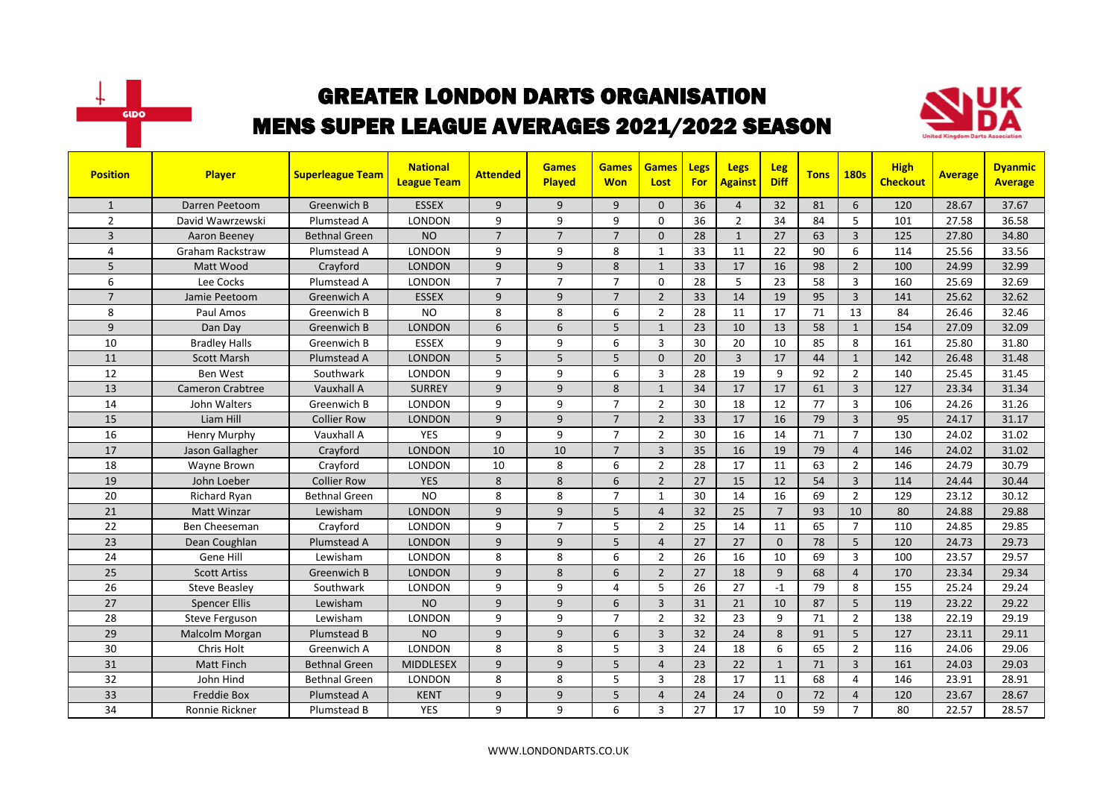



| <b>Position</b> | <b>Player</b>           | <b>Superleague Team</b> | <b>National</b><br><b>League Team</b> | <b>Attended</b> | <b>Games</b><br><b>Played</b> | <b>Games</b><br><b>Won</b> | <b>Games</b><br>Lost | Legs<br>For | Legs<br><b>Against</b> | Leg<br><b>Diff</b> | <b>Tons</b> | <b>180s</b>    | <b>High</b><br><b>Checkout</b> | <b>Average</b> | <b>Dyanmic</b><br><b>Average</b> |
|-----------------|-------------------------|-------------------------|---------------------------------------|-----------------|-------------------------------|----------------------------|----------------------|-------------|------------------------|--------------------|-------------|----------------|--------------------------------|----------------|----------------------------------|
| $\mathbf{1}$    | Darren Peetoom          | Greenwich B             | <b>ESSEX</b>                          | 9               | 9                             | 9                          | $\mathbf{0}$         | 36          | $\overline{4}$         | 32                 | 81          | 6              | 120                            | 28.67          | 37.67                            |
| $\overline{2}$  | David Wawrzewski        | Plumstead A             | <b>LONDON</b>                         | 9               | 9                             | 9                          | $\Omega$             | 36          | $\overline{2}$         | 34                 | 84          | 5              | 101                            | 27.58          | 36.58                            |
| 3               | Aaron Beeney            | Bethnal Green           | <b>NO</b>                             | $\overline{7}$  | $\overline{7}$                | $\overline{7}$             | $\mathbf{0}$         | 28          | $\mathbf{1}$           | 27                 | 63          | 3              | 125                            | 27.80          | 34.80                            |
| 4               | <b>Graham Rackstraw</b> | Plumstead A             | LONDON                                | 9               | 9                             | 8                          | $\mathbf{1}$         | 33          | 11                     | 22                 | 90          | 6              | 114                            | 25.56          | 33.56                            |
| 5               | Matt Wood               | Crayford                | <b>LONDON</b>                         | 9               | 9                             | 8                          | $\mathbf{1}$         | 33          | 17                     | 16                 | 98          | $\overline{2}$ | 100                            | 24.99          | 32.99                            |
| 6               | Lee Cocks               | Plumstead A             | <b>LONDON</b>                         | $\overline{7}$  | $\overline{7}$                | $\overline{7}$             | $\Omega$             | 28          | 5                      | 23                 | 58          | 3              | 160                            | 25.69          | 32.69                            |
| $\overline{7}$  | Jamie Peetoom           | Greenwich A             | <b>ESSEX</b>                          | 9               | 9                             | $\overline{7}$             | $\overline{2}$       | 33          | 14                     | 19                 | 95          | $\overline{3}$ | 141                            | 25.62          | 32.62                            |
| 8               | Paul Amos               | Greenwich B             | <b>NO</b>                             | 8               | 8                             | 6                          | $\overline{2}$       | 28          | 11                     | 17                 | 71          | 13             | 84                             | 26.46          | 32.46                            |
| 9               | Dan Day                 | Greenwich B             | <b>LONDON</b>                         | 6               | 6                             | 5                          | $\mathbf{1}$         | 23          | 10                     | 13                 | 58          | $\mathbf{1}$   | 154                            | 27.09          | 32.09                            |
| 10              | <b>Bradley Halls</b>    | Greenwich B             | <b>ESSEX</b>                          | 9               | 9                             | 6                          | 3                    | 30          | 20                     | 10                 | 85          | 8              | 161                            | 25.80          | 31.80                            |
| 11              | <b>Scott Marsh</b>      | Plumstead A             | <b>LONDON</b>                         | 5               | 5                             | 5                          | $\Omega$             | 20          | $\overline{3}$         | 17                 | 44          | $\mathbf{1}$   | 142                            | 26.48          | 31.48                            |
| 12              | <b>Ben West</b>         | Southwark               | <b>LONDON</b>                         | 9               | 9                             | 6                          | $\overline{3}$       | 28          | 19                     | 9                  | 92          | $\overline{2}$ | 140                            | 25.45          | 31.45                            |
| 13              | <b>Cameron Crabtree</b> | Vauxhall A              | <b>SURREY</b>                         | 9               | 9                             | 8                          | $\mathbf{1}$         | 34          | 17                     | 17                 | 61          | $\overline{3}$ | 127                            | 23.34          | 31.34                            |
| 14              | John Walters            | Greenwich B             | <b>LONDON</b>                         | 9               | 9                             | $\overline{7}$             | $\overline{2}$       | 30          | 18                     | 12                 | 77          | $\overline{3}$ | 106                            | 24.26          | 31.26                            |
| 15              | Liam Hill               | <b>Collier Row</b>      | <b>LONDON</b>                         | 9               | $\overline{9}$                | $\overline{7}$             | $\overline{2}$       | 33          | 17                     | 16                 | 79          | $\overline{3}$ | 95                             | 24.17          | 31.17                            |
| 16              | Henry Murphy            | Vauxhall A              | <b>YES</b>                            | 9               | 9                             | $\overline{7}$             | $\overline{2}$       | 30          | 16                     | 14                 | 71          | $\overline{7}$ | 130                            | 24.02          | 31.02                            |
| 17              | Jason Gallagher         | Crayford                | <b>LONDON</b>                         | 10              | 10                            | $\overline{7}$             | $\overline{3}$       | 35          | 16                     | 19                 | 79          | $\overline{4}$ | 146                            | 24.02          | 31.02                            |
| 18              | Wayne Brown             | Crayford                | <b>LONDON</b>                         | 10              | 8                             | 6                          | $\overline{2}$       | 28          | 17                     | 11                 | 63          | $\overline{2}$ | 146                            | 24.79          | 30.79                            |
| 19              | John Loeber             | Collier Row             | <b>YES</b>                            | 8               | 8                             | 6                          | $\overline{2}$       | 27          | 15                     | 12                 | 54          | $\overline{3}$ | 114                            | 24.44          | 30.44                            |
| 20              | Richard Ryan            | <b>Bethnal Green</b>    | <b>NO</b>                             | 8               | 8                             | $\overline{7}$             | $\mathbf{1}$         | 30          | 14                     | 16                 | 69          | $\overline{2}$ | 129                            | 23.12          | 30.12                            |
| 21              | <b>Matt Winzar</b>      | Lewisham                | <b>LONDON</b>                         | 9               | $\overline{9}$                | 5                          | $\overline{4}$       | 32          | 25                     | $\overline{7}$     | 93          | 10             | 80                             | 24.88          | 29.88                            |
| 22              | Ben Cheeseman           | Crayford                | <b>LONDON</b>                         | 9               | $\overline{7}$                | 5                          | $\overline{2}$       | 25          | 14                     | 11                 | 65          | $\overline{7}$ | 110                            | 24.85          | 29.85                            |
| 23              | Dean Coughlan           | Plumstead A             | <b>LONDON</b>                         | 9               | 9                             | 5                          | $\overline{4}$       | 27          | 27                     | $\mathbf{0}$       | 78          | 5              | 120                            | 24.73          | 29.73                            |
| 24              | Gene Hill               | Lewisham                | <b>LONDON</b>                         | 8               | 8                             | 6                          | $\overline{2}$       | 26          | 16                     | 10                 | 69          | 3              | 100                            | 23.57          | 29.57                            |
| 25              | <b>Scott Artiss</b>     | Greenwich B             | <b>LONDON</b>                         | 9               | 8                             | 6                          | $\overline{2}$       | 27          | 18                     | 9                  | 68          | $\overline{4}$ | 170                            | 23.34          | 29.34                            |
| 26              | <b>Steve Beasley</b>    | Southwark               | <b>LONDON</b>                         | 9               | 9                             | 4                          | 5                    | 26          | 27                     | $-1$               | 79          | 8              | 155                            | 25.24          | 29.24                            |
| 27              | <b>Spencer Ellis</b>    | Lewisham                | <b>NO</b>                             | 9               | $\mathsf{q}$                  | 6                          | 3                    | 31          | 21                     | 10                 | 87          | 5              | 119                            | 23.22          | 29.22                            |
| 28              | Steve Ferguson          | Lewisham                | <b>LONDON</b>                         | 9               | 9                             | $\overline{7}$             | $\overline{2}$       | 32          | 23                     | 9                  | 71          | $\overline{2}$ | 138                            | 22.19          | 29.19                            |
| 29              | Malcolm Morgan          | Plumstead B             | <b>NO</b>                             | 9               | 9                             | 6                          | $\overline{3}$       | 32          | 24                     | 8                  | 91          | 5              | 127                            | 23.11          | 29.11                            |
| 30              | Chris Holt              | Greenwich A             | <b>LONDON</b>                         | 8               | 8                             | 5                          | 3                    | 24          | 18                     | 6                  | 65          | $\overline{2}$ | 116                            | 24.06          | 29.06                            |
| 31              | <b>Matt Finch</b>       | <b>Bethnal Green</b>    | <b>MIDDLESEX</b>                      | 9               | $\mathsf{q}$                  | 5                          | $\overline{4}$       | 23          | 22                     | $\mathbf{1}$       | 71          | $\overline{3}$ | 161                            | 24.03          | 29.03                            |
| 32              | John Hind               | <b>Bethnal Green</b>    | LONDON                                | 8               | 8                             | 5                          | 3                    | 28          | 17                     | 11                 | 68          | 4              | 146                            | 23.91          | 28.91                            |
| 33              | <b>Freddie Box</b>      | Plumstead A             | <b>KENT</b>                           | 9               | 9                             | 5                          | $\overline{4}$       | 24          | 24                     | $\mathbf{0}$       | 72          | $\overline{4}$ | 120                            | 23.67          | 28.67                            |
| 34              | Ronnie Rickner          | Plumstead B             | <b>YES</b>                            | 9               | 9                             | 6                          | 3                    | 27          | 17                     | 10                 | 59          | $\overline{7}$ | 80                             | 22.57          | 28.57                            |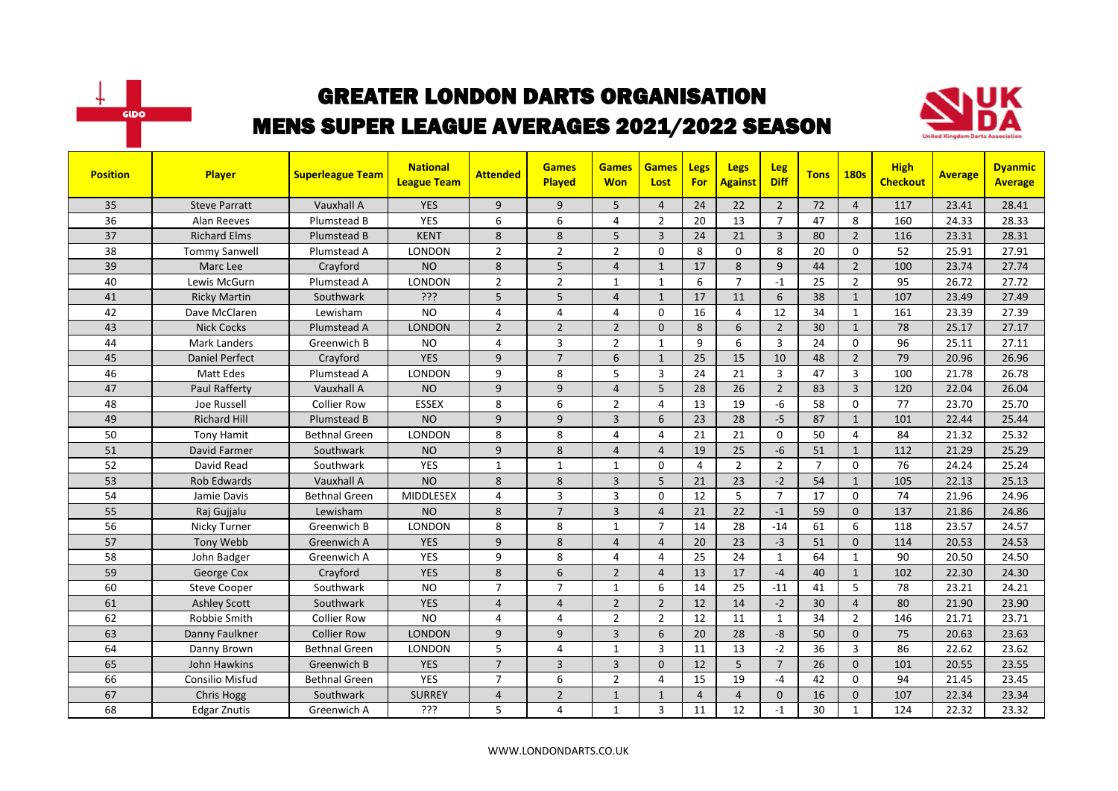



| <b>Position</b> | Player                | <b>Superleague Team</b> | <b>National</b><br><b>League Team</b> | <b>Attended</b> | <b>Games</b><br>Played | <b>Games</b><br><b>Won</b> | <b>Games</b><br>Lost | Legs<br><b>For</b> | <b>Legs</b><br><b>Against</b> | <b>Leg</b><br><b>Diff</b> | <b>Tons</b>    | <b>180s</b>    | <b>High</b><br><b>Checkout</b> | <b>Average</b> | <b>Dyanmic</b><br><b>Average</b> |
|-----------------|-----------------------|-------------------------|---------------------------------------|-----------------|------------------------|----------------------------|----------------------|--------------------|-------------------------------|---------------------------|----------------|----------------|--------------------------------|----------------|----------------------------------|
| 35              | <b>Steve Parratt</b>  | Vauxhall A              | <b>YES</b>                            | 9               | 9                      | 5                          | $\overline{4}$       | 24                 | 22                            | $\overline{2}$            | 72             | $\overline{4}$ | 117                            | 23.41          | 28.41                            |
| 36              | Alan Reeves           | Plumstead B             | <b>YES</b>                            | 6               | 6                      | 4                          | $\overline{2}$       | 20                 | 13                            | $\overline{7}$            | 47             | 8              | 160                            | 24.33          | 28.33                            |
| 37              | <b>Richard Elms</b>   | Plumstead B             | <b>KENT</b>                           | 8               | 8                      | 5                          | $\overline{3}$       | 24                 | 21                            | $\overline{3}$            | 80             | $\overline{2}$ | 116                            | 23.31          | 28.31                            |
| 38              | <b>Tommy Sanwell</b>  | Plumstead A             | LONDON                                | $\overline{2}$  | $\overline{2}$         | $\overline{2}$             | $\Omega$             | 8                  | $\Omega$                      | 8                         | 20             | $\Omega$       | 52                             | 25.91          | 27.91                            |
| 39              | Marc Lee              | Crayford                | <b>NO</b>                             | 8               | 5                      | $\overline{4}$             | $\mathbf{1}$         | 17                 | 8                             | $\overline{9}$            | 44             | $\overline{2}$ | 100                            | 23.74          | 27.74                            |
| 40              | Lewis McGurn          | Plumstead A             | <b>LONDON</b>                         | $\overline{2}$  | $\overline{2}$         | 1                          | 1                    | 6                  | $\overline{7}$                | $-1$                      | 25             | $\overline{2}$ | 95                             | 26.72          | 27.72                            |
| 41              | <b>Ricky Martin</b>   | Southwark               | ?ְיָ                                  | 5               | 5                      | $\overline{4}$             | $\mathbf{1}$         | 17                 | 11                            | 6                         | 38             | $\mathbf{1}$   | 107                            | 23.49          | 27.49                            |
| 42              | Dave McClaren         | Lewisham                | <b>NO</b>                             | 4               | $\overline{a}$         | 4                          | $\Omega$             | 16                 | 4                             | 12                        | 34             | $\mathbf{1}$   | 161                            | 23.39          | 27.39                            |
| 43              | <b>Nick Cocks</b>     | Plumstead A             | <b>LONDON</b>                         | $\overline{2}$  | $\overline{2}$         | $\overline{2}$             | $\Omega$             | 8                  | 6                             | $\overline{2}$            | 30             | $\mathbf{1}$   | 78                             | 25.17          | 27.17                            |
| 44              | <b>Mark Landers</b>   | Greenwich B             | <b>NO</b>                             | 4               | $\overline{3}$         | $\overline{2}$             | $\mathbf{1}$         | 9                  | 6                             | 3                         | 24             | 0              | 96                             | 25.11          | 27.11                            |
| 45              | <b>Daniel Perfect</b> | Crayford                | <b>YES</b>                            | 9               | $\overline{7}$         | 6                          | $\mathbf{1}$         | 25                 | 15                            | 10                        | 48             | $\overline{2}$ | 79                             | 20.96          | 26.96                            |
| 46              | <b>Matt Edes</b>      | Plumstead A             | <b>LONDON</b>                         | 9               | 8                      | 5                          | 3                    | 24                 | 21                            | $\overline{3}$            | 47             | 3              | 100                            | 21.78          | 26.78                            |
| 47              | <b>Paul Rafferty</b>  | Vauxhall A              | <b>NO</b>                             | 9               | 9                      | $\overline{4}$             | 5                    | 28                 | 26                            | $\overline{2}$            | 83             | $\overline{3}$ | 120                            | 22.04          | 26.04                            |
| 48              | Joe Russell           | <b>Collier Row</b>      | <b>ESSEX</b>                          | 8               | 6                      | $\overline{2}$             | $\overline{4}$       | 13                 | 19                            | $-6$                      | 58             | $\Omega$       | 77                             | 23.70          | 25.70                            |
| 49              | <b>Richard Hill</b>   | Plumstead B             | <b>NO</b>                             | $\overline{9}$  | $\overline{9}$         | $\overline{3}$             | 6                    | 23                 | 28                            | $-5$                      | 87             | $\mathbf{1}$   | 101                            | 22.44          | 25.44                            |
| 50              | <b>Tony Hamit</b>     | <b>Bethnal Green</b>    | <b>LONDON</b>                         | 8               | 8                      | 4                          | $\overline{4}$       | 21                 | 21                            | $\Omega$                  | 50             | $\overline{a}$ | 84                             | 21.32          | 25.32                            |
| 51              | David Farmer          | Southwark               | <b>NO</b>                             | 9               | 8                      | $\overline{4}$             | $\overline{4}$       | 19                 | 25                            | $-6$                      | 51             | $\mathbf{1}$   | 112                            | 21.29          | 25.29                            |
| 52              | David Read            | Southwark               | <b>YES</b>                            | $\mathbf{1}$    | $\mathbf{1}$           | 1                          | $\Omega$             | 4                  | $\overline{2}$                | $\overline{2}$            | $\overline{7}$ | $\Omega$       | 76                             | 24.24          | 25.24                            |
| 53              | <b>Rob Edwards</b>    | Vauxhall A              | <b>NO</b>                             | 8               | 8                      | $\overline{3}$             | 5                    | 21                 | 23                            | $-2$                      | 54             | $\mathbf{1}$   | 105                            | 22.13          | 25.13                            |
| 54              | Jamie Davis           | <b>Bethnal Green</b>    | <b>MIDDLESEX</b>                      | 4               | $\overline{3}$         | 3                          | $\Omega$             | 12                 | 5                             | $\overline{7}$            | 17             | $\Omega$       | 74                             | 21.96          | 24.96                            |
| 55              | Raj Gujjalu           | Lewisham                | <b>NO</b>                             | 8               | $\overline{7}$         | 3                          | $\overline{4}$       | 21                 | 22                            | $-1$                      | 59             | $\mathbf{0}$   | 137                            | 21.86          | 24.86                            |
| 56              | Nicky Turner          | Greenwich B             | LONDON                                | 8               | 8                      | 1                          | $\overline{7}$       | 14                 | 28                            | $-14$                     | 61             | 6              | 118                            | 23.57          | 24.57                            |
| 57              | Tony Webb             | Greenwich A             | <b>YES</b>                            | 9               | 8                      | $\overline{4}$             | $\overline{4}$       | 20                 | 23                            | $-3$                      | 51             | $\Omega$       | 114                            | 20.53          | 24.53                            |
| 58              | John Badger           | Greenwich A             | <b>YES</b>                            | 9               | 8                      | 4                          | $\overline{4}$       | 25                 | 24                            | $\mathbf{1}$              | 64             | $\mathbf{1}$   | 90                             | 20.50          | 24.50                            |
| 59              | George Cox            | Crayford                | <b>YES</b>                            | 8               | 6                      | $\overline{2}$             | $\overline{4}$       | 13                 | 17                            | $-4$                      | 40             | $\mathbf{1}$   | 102                            | 22.30          | 24.30                            |
| 60              | <b>Steve Cooper</b>   | Southwark               | <b>NO</b>                             | $\overline{7}$  | $\overline{7}$         | 1                          | 6                    | 14                 | 25                            | $-11$                     | 41             | 5              | 78                             | 23.21          | 24.21                            |
| 61              | <b>Ashley Scott</b>   | Southwark               | <b>YES</b>                            | $\overline{4}$  | $\overline{4}$         | $\overline{2}$             | $\overline{2}$       | 12                 | 14                            | $-2$                      | 30             | $\overline{4}$ | 80                             | 21.90          | 23.90                            |
| 62              | Robbie Smith          | <b>Collier Row</b>      | <b>NO</b>                             | 4               | $\overline{4}$         | $\overline{2}$             | $\overline{2}$       | 12                 | 11                            | 1                         | 34             | $\overline{2}$ | 146                            | 21.71          | 23.71                            |
| 63              | Danny Faulkner        | <b>Collier Row</b>      | <b>LONDON</b>                         | 9               | 9                      | 3                          | 6                    | 20                 | 28                            | -8                        | 50             | $\mathbf{0}$   | 75                             | 20.63          | 23.63                            |
| 64              | Danny Brown           | <b>Bethnal Green</b>    | <b>LONDON</b>                         | 5               | $\overline{4}$         | $\mathbf{1}$               | 3                    | 11                 | 13                            | $-2$                      | 36             | 3              | 86                             | 22.62          | 23.62                            |
| 65              | John Hawkins          | <b>Greenwich B</b>      | <b>YES</b>                            | $\overline{7}$  | $\overline{3}$         | $\overline{3}$             | $\Omega$             | 12                 | 5                             | $\overline{7}$            | 26             | $\Omega$       | 101                            | 20.55          | 23.55                            |
| 66              | Consilio Misfud       | <b>Bethnal Green</b>    | <b>YES</b>                            | $\overline{7}$  | 6                      | $\overline{2}$             | 4                    | 15                 | 19                            | $-4$                      | 42             | $\mathbf 0$    | 94                             | 21.45          | 23.45                            |
| 67              | <b>Chris Hogg</b>     | Southwark               | <b>SURREY</b>                         | $\overline{4}$  | $\overline{2}$         | $\mathbf{1}$               | $\mathbf{1}$         | $\overline{4}$     | $\overline{4}$                | $\mathbf{0}$              | 16             | $\mathbf 0$    | 107                            | 22.34          | 23.34                            |
| 68              | <b>Edgar Znutis</b>   | Greenwich A             | ???                                   | 5               | $\overline{4}$         | $\mathbf{1}$               | 3                    | 11                 | 12                            | $-1$                      | 30             | $\mathbf{1}$   | 124                            | 22.32          | 23.32                            |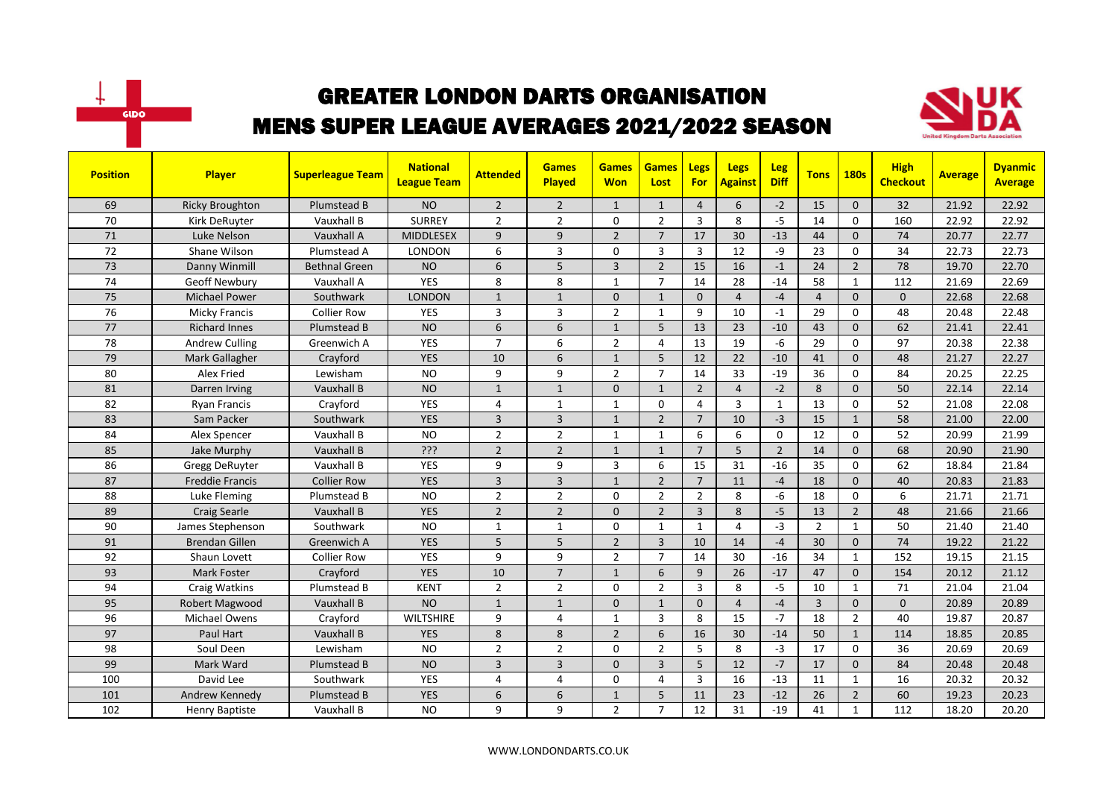



| <b>Position</b> | <b>Player</b>          | <b>Superleague Team</b> | <b>National</b><br><b>League Team</b> | <b>Attended</b> | <b>Games</b><br>Played | <b>Games</b><br><b>Won</b> | <b>Games</b><br>Lost | <b>Legs</b><br><b>For</b> | <b>Legs</b><br><b>Against</b> | <b>Leg</b><br><b>Diff</b> | <b>Tons</b>    | <b>180s</b>    | <b>High</b><br><b>Checkout</b> | <b>Average</b> | <b>Dyanmic</b><br><b>Average</b> |
|-----------------|------------------------|-------------------------|---------------------------------------|-----------------|------------------------|----------------------------|----------------------|---------------------------|-------------------------------|---------------------------|----------------|----------------|--------------------------------|----------------|----------------------------------|
| 69              | <b>Ricky Broughton</b> | Plumstead B             | <b>NO</b>                             | $\overline{2}$  | $\overline{2}$         | $\mathbf{1}$               | $\mathbf{1}$         | $\overline{4}$            | 6                             | $-2$                      | 15             | $\mathbf{0}$   | 32                             | 21.92          | 22.92                            |
| 70              | Kirk DeRuyter          | Vauxhall B              | <b>SURREY</b>                         | $\overline{2}$  | $\overline{2}$         | 0                          | $\overline{2}$       | $\overline{3}$            | 8                             | $-5$                      | 14             | $\mathbf 0$    | 160                            | 22.92          | 22.92                            |
| 71              | Luke Nelson            | Vauxhall A              | <b>MIDDLESEX</b>                      | 9               | 9                      | $\overline{2}$             | $\overline{7}$       | 17                        | 30                            | $-13$                     | 44             | $\mathbf 0$    | 74                             | 20.77          | 22.77                            |
| 72              | Shane Wilson           | Plumstead A             | LONDON                                | 6               | $\overline{3}$         | 0                          | 3                    | 3                         | 12                            | -9                        | 23             | $\mathbf 0$    | 34                             | 22.73          | 22.73                            |
| 73              | Danny Winmill          | <b>Bethnal Green</b>    | <b>NO</b>                             | 6               | 5                      | $\overline{3}$             | $\overline{2}$       | 15                        | 16                            | $-1$                      | 24             | $\overline{2}$ | 78                             | 19.70          | 22.70                            |
| 74              | <b>Geoff Newbury</b>   | Vauxhall A              | <b>YES</b>                            | 8               | 8                      | $\mathbf{1}$               | $\overline{7}$       | 14                        | 28                            | $-14$                     | 58             | $\mathbf{1}$   | 112                            | 21.69          | 22.69                            |
| 75              | <b>Michael Power</b>   | Southwark               | <b>LONDON</b>                         | $\mathbf{1}$    | $\overline{1}$         | $\Omega$                   | $\mathbf{1}$         | $\Omega$                  | $\overline{4}$                | $-4$                      | $\overline{4}$ | $\Omega$       | $\overline{0}$                 | 22.68          | 22.68                            |
| 76              | <b>Micky Francis</b>   | <b>Collier Row</b>      | <b>YES</b>                            | 3               | 3                      | $\overline{2}$             | $\mathbf{1}$         | 9                         | 10                            | $-1$                      | 29             | 0              | 48                             | 20.48          | 22.48                            |
| 77              | <b>Richard Innes</b>   | Plumstead B             | <b>NO</b>                             | 6               | 6                      | $\mathbf{1}$               | 5                    | 13                        | 23                            | $-10$                     | 43             | $\mathbf{0}$   | 62                             | 21.41          | 22.41                            |
| 78              | <b>Andrew Culling</b>  | Greenwich A             | <b>YES</b>                            | $\overline{7}$  | 6                      | $\overline{2}$             | 4                    | 13                        | 19                            | -6                        | 29             | $\mathbf 0$    | 97                             | 20.38          | 22.38                            |
| 79              | Mark Gallagher         | Crayford                | <b>YES</b>                            | 10              | 6                      | $\mathbf{1}$               | 5                    | 12                        | 22                            | $-10$                     | 41             | $\Omega$       | 48                             | 21.27          | 22.27                            |
| 80              | Alex Fried             | Lewisham                | <b>NO</b>                             | 9               | 9                      | $\overline{2}$             | $\overline{7}$       | 14                        | 33                            | $-19$                     | 36             | $\Omega$       | 84                             | 20.25          | 22.25                            |
| 81              | Darren Irving          | Vauxhall B              | <b>NO</b>                             | $\mathbf{1}$    | $\mathbf{1}$           | $\mathbf{0}$               | 1                    | $\overline{2}$            | $\overline{4}$                | $-2$                      | 8              | $\Omega$       | 50                             | 22.14          | 22.14                            |
| 82              | <b>Ryan Francis</b>    | Crayford                | <b>YES</b>                            | 4               | $\mathbf{1}$           | $\mathbf{1}$               | $\mathbf{0}$         | $\overline{4}$            | $\overline{3}$                | $\mathbf{1}$              | 13             | $\mathbf 0$    | 52                             | 21.08          | 22.08                            |
| 83              | Sam Packer             | Southwark               | <b>YES</b>                            | $\overline{3}$  | $\overline{3}$         | $\mathbf{1}$               | $\overline{2}$       | $\overline{7}$            | 10                            | $-3$                      | 15             | $\mathbf{1}$   | 58                             | 21.00          | 22.00                            |
| 84              | Alex Spencer           | Vauxhall B              | <b>NO</b>                             | $\overline{2}$  | $\overline{2}$         | $\mathbf{1}$               | $\mathbf{1}$         | 6                         | 6                             | $\mathbf{0}$              | 12             | $\mathbf 0$    | 52                             | 20.99          | 21.99                            |
| 85              | Jake Murphy            | Vauxhall B              | ???                                   | $\overline{2}$  | $\overline{2}$         | $\mathbf{1}$               | $\mathbf{1}$         | $\overline{7}$            | 5                             | $\overline{2}$            | 14             | $\mathbf{0}$   | 68                             | 20.90          | 21.90                            |
| 86              | <b>Gregg DeRuyter</b>  | Vauxhall B              | <b>YES</b>                            | 9               | 9                      | 3                          | 6                    | 15                        | 31                            | $-16$                     | 35             | $\mathbf 0$    | 62                             | 18.84          | 21.84                            |
| 87              | <b>Freddie Francis</b> | <b>Collier Row</b>      | <b>YES</b>                            | $\overline{3}$  | $\overline{3}$         | $\mathbf{1}$               | $\overline{2}$       | $\overline{7}$            | 11                            | $-4$                      | 18             | $\mathbf{0}$   | 40                             | 20.83          | 21.83                            |
| 88              | Luke Fleming           | Plumstead B             | <b>NO</b>                             | $\overline{2}$  | $\overline{2}$         | 0                          | $\overline{2}$       | $\overline{2}$            | 8                             | $-6$                      | 18             | $\mathbf 0$    | 6                              | 21.71          | 21.71                            |
| 89              | <b>Craig Searle</b>    | Vauxhall B              | <b>YES</b>                            | $\overline{2}$  | $\mathbf 2$            | $\Omega$                   | $\overline{2}$       | $\overline{\mathbf{3}}$   | 8                             | $-5$                      | 13             | $\overline{2}$ | 48                             | 21.66          | 21.66                            |
| 90              | James Stephenson       | Southwark               | <b>NO</b>                             | $\mathbf{1}$    | $\mathbf{1}$           | 0                          | $\mathbf{1}$         | $\mathbf{1}$              | 4                             | $-3$                      | $\overline{2}$ | $\mathbf{1}$   | 50                             | 21.40          | 21.40                            |
| 91              | <b>Brendan Gillen</b>  | Greenwich A             | <b>YES</b>                            | 5               | 5                      | $\overline{2}$             | $\overline{3}$       | 10                        | 14                            | $-4$                      | 30             | $\mathbf{0}$   | 74                             | 19.22          | 21.22                            |
| 92              | Shaun Lovett           | <b>Collier Row</b>      | <b>YES</b>                            | 9               | 9                      | $\overline{2}$             | $\overline{7}$       | 14                        | 30                            | $-16$                     | 34             | $\mathbf{1}$   | 152                            | 19.15          | 21.15                            |
| 93              | <b>Mark Foster</b>     | Crayford                | <b>YES</b>                            | 10              | $\overline{7}$         | $\mathbf{1}$               | 6                    | 9                         | 26                            | $-17$                     | 47             | $\mathbf{0}$   | 154                            | 20.12          | 21.12                            |
| 94              | Craig Watkins          | Plumstead B             | <b>KENT</b>                           | $\overline{2}$  | $\overline{2}$         | 0                          | $\overline{2}$       | 3                         | 8                             | $-5$                      | 10             | $\mathbf{1}$   | 71                             | 21.04          | 21.04                            |
| 95              | Robert Magwood         | Vauxhall B              | <b>NO</b>                             | $\mathbf{1}$    | $\mathbf{1}$           | $\mathbf{0}$               | $\mathbf{1}$         | $\mathbf{0}$              | $\overline{4}$                | $-4$                      | 3              | $\mathbf{0}$   | $\mathbf{0}$                   | 20.89          | 20.89                            |
| 96              | <b>Michael Owens</b>   | Crayford                | <b>WILTSHIRE</b>                      | 9               | 4                      | $\mathbf{1}$               | 3                    | 8                         | 15                            | $-7$                      | 18             | $\overline{2}$ | 40                             | 19.87          | 20.87                            |
| 97              | Paul Hart              | Vauxhall B              | <b>YES</b>                            | 8               | 8                      | $\overline{2}$             | 6                    | 16                        | 30                            | $-14$                     | 50             | $\mathbf{1}$   | 114                            | 18.85          | 20.85                            |
| 98              | Soul Deen              | Lewisham                | <b>NO</b>                             | $\overline{2}$  | $\overline{2}$         | $\Omega$                   | $\overline{2}$       | 5                         | 8                             | $-3$                      | 17             | $\mathbf 0$    | 36                             | 20.69          | 20.69                            |
| 99              | Mark Ward              | Plumstead B             | <b>NO</b>                             | $\overline{3}$  | $\overline{3}$         | $\Omega$                   | $\overline{3}$       | 5                         | 12                            | $-7$                      | 17             | $\Omega$       | 84                             | 20.48          | 20.48                            |
| 100             | David Lee              | Southwark               | <b>YES</b>                            | 4               | 4                      | 0                          | 4                    | 3                         | 16                            | $-13$                     | 11             | $\mathbf{1}$   | 16                             | 20.32          | 20.32                            |
| 101             | Andrew Kennedy         | Plumstead B             | <b>YES</b>                            | 6               | 6                      | $\mathbf{1}$               | 5                    | 11                        | 23                            | $-12$                     | 26             | $\overline{2}$ | 60                             | 19.23          | 20.23                            |
| 102             | Henry Baptiste         | Vauxhall B              | <b>NO</b>                             | 9               | 9                      | $\overline{2}$             | $\overline{7}$       | 12                        | 31                            | $-19$                     | 41             | $\mathbf{1}$   | 112                            | 18.20          | 20.20                            |